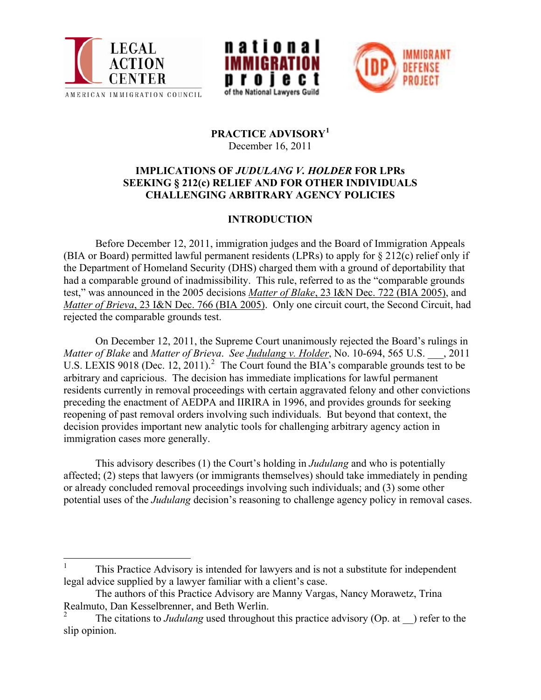





## **PRACTICE ADVISORY[1](#page-0-0)** December 16, 2011

## **IMPLICATIONS OF** *JUDULANG V. HOLDER* **FOR LPRs SEEKING § 212(c) RELIEF AND FOR OTHER INDIVIDUALS CHALLENGING ARBITRARY AGENCY POLICIES**

## **INTRODUCTION**

 Before December 12, 2011, immigration judges and the Board of Immigration Appeals (BIA or Board) permitted lawful permanent residents (LPRs) to apply for § 212(c) relief only if the Department of Homeland Security (DHS) charged them with a ground of deportability that had a comparable ground of inadmissibility. This rule, referred to as the "comparable grounds test," was announced in the 2005 decisions *Matter of Blake*[, 23 I&N Dec. 722 \(BIA 2005\),](http://www.justice.gov/eoir/vll/intdec/vol23/3509.pdf) and *Matter of Brieva*[, 23 I&N Dec. 766 \(BIA 2005\).](http://www.justice.gov/eoir/vll/intdec/vol23/3514.pdf) Only one circuit court, the Second Circuit, had rejected the comparable grounds test.

 On December 12, 2011, the Supreme Court unanimously rejected the Board's rulings in *Matter of Blake* and *Matter of Brieva*. *See [Judulang v. Holder](http://www.supremecourt.gov/opinions/11pdf/10-694.pdf)*, No. 10-694, 565 U.S. \_\_\_, 2011 U.S. LEXIS 9018 (Dec. 1[2](#page-0-1), 2011).<sup>2</sup> The Court found the BIA's comparable grounds test to be arbitrary and capricious. The decision has immediate implications for lawful permanent residents currently in removal proceedings with certain aggravated felony and other convictions preceding the enactment of AEDPA and IIRIRA in 1996, and provides grounds for seeking reopening of past removal orders involving such individuals. But beyond that context, the decision provides important new analytic tools for challenging arbitrary agency action in immigration cases more generally.

 This advisory describes (1) the Court's holding in *Judulang* and who is potentially affected; (2) steps that lawyers (or immigrants themselves) should take immediately in pending or already concluded removal proceedings involving such individuals; and (3) some other potential uses of the *Judulang* decision's reasoning to challenge agency policy in removal cases.

<span id="page-0-0"></span><sup>1</sup> This Practice Advisory is intended for lawyers and is not a substitute for independent legal advice supplied by a lawyer familiar with a client's case.

The authors of this Practice Advisory are Manny Vargas, Nancy Morawetz, Trina Realmuto, Dan Kesselbrenner, and Beth Werlin.<br><sup>2</sup> The site ions to *Judulang* used throughout

<span id="page-0-1"></span>The citations to *Judulang* used throughout this practice advisory (Op. at ) refer to the slip opinion.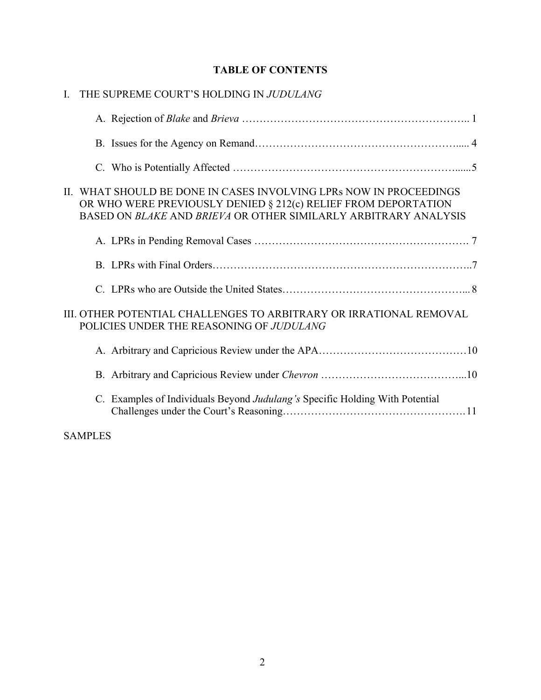## **TABLE OF CONTENTS**

| $\mathbf{I}$ |                | THE SUPREME COURT'S HOLDING IN JUDULANG                                                                                                                                                                 |
|--------------|----------------|---------------------------------------------------------------------------------------------------------------------------------------------------------------------------------------------------------|
|              |                |                                                                                                                                                                                                         |
|              |                |                                                                                                                                                                                                         |
|              |                |                                                                                                                                                                                                         |
|              |                | II. WHAT SHOULD BE DONE IN CASES INVOLVING LPRs NOW IN PROCEEDINGS<br>OR WHO WERE PREVIOUSLY DENIED § 212(c) RELIEF FROM DEPORTATION<br>BASED ON BLAKE AND BRIEVA OR OTHER SIMILARLY ARBITRARY ANALYSIS |
|              |                |                                                                                                                                                                                                         |
|              |                |                                                                                                                                                                                                         |
|              |                |                                                                                                                                                                                                         |
|              |                | III. OTHER POTENTIAL CHALLENGES TO ARBITRARY OR IRRATIONAL REMOVAL<br>POLICIES UNDER THE REASONING OF JUDULANG                                                                                          |
|              |                |                                                                                                                                                                                                         |
|              |                |                                                                                                                                                                                                         |
|              |                | C. Examples of Individuals Beyond Judulang's Specific Holding With Potential                                                                                                                            |
|              | <b>SAMPLES</b> |                                                                                                                                                                                                         |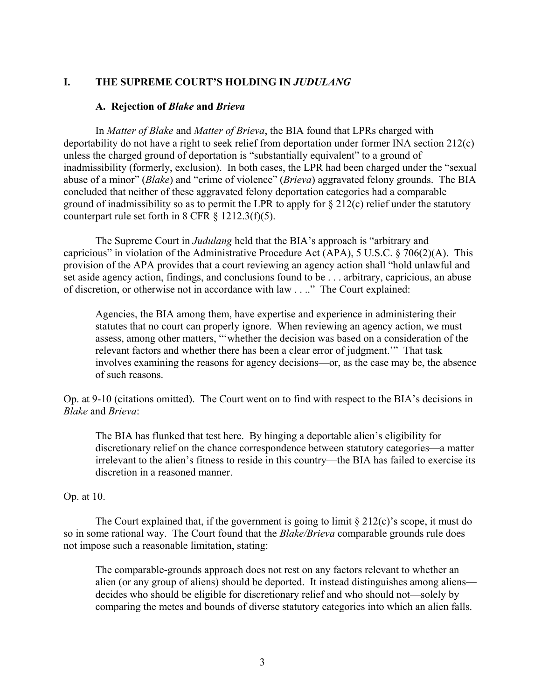#### **I. THE SUPREME COURT'S HOLDING IN** *JUDULANG*

#### **A. Rejection of** *Blake* **and** *Brieva*

In *Matter of Blake* and *Matter of Brieva*, the BIA found that LPRs charged with deportability do not have a right to seek relief from deportation under former INA section 212(c) unless the charged ground of deportation is "substantially equivalent" to a ground of inadmissibility (formerly, exclusion). In both cases, the LPR had been charged under the "sexual abuse of a minor" (*Blake*) and "crime of violence" (*Brieva*) aggravated felony grounds. The BIA concluded that neither of these aggravated felony deportation categories had a comparable ground of inadmissibility so as to permit the LPR to apply for  $\S 212(c)$  relief under the statutory counterpart rule set forth in 8 CFR  $\S$  1212.3(f)(5).

The Supreme Court in *Judulang* held that the BIA's approach is "arbitrary and capricious" in violation of the Administrative Procedure Act (APA), 5 U.S.C. § 706(2)(A). This provision of the APA provides that a court reviewing an agency action shall "hold unlawful and set aside agency action, findings, and conclusions found to be . . . arbitrary, capricious, an abuse of discretion, or otherwise not in accordance with law . . .." The Court explained:

Agencies, the BIA among them, have expertise and experience in administering their statutes that no court can properly ignore. When reviewing an agency action, we must assess, among other matters, "'whether the decision was based on a consideration of the relevant factors and whether there has been a clear error of judgment.'" That task involves examining the reasons for agency decisions—or, as the case may be, the absence of such reasons.

Op. at 9-10 (citations omitted). The Court went on to find with respect to the BIA's decisions in *Blake* and *Brieva*:

The BIA has flunked that test here. By hinging a deportable alien's eligibility for discretionary relief on the chance correspondence between statutory categories—a matter irrelevant to the alien's fitness to reside in this country—the BIA has failed to exercise its discretion in a reasoned manner.

#### Op. at 10.

The Court explained that, if the government is going to limit  $\S 212(c)$ 's scope, it must do so in some rational way. The Court found that the *Blake/Brieva* comparable grounds rule does not impose such a reasonable limitation, stating:

The comparable-grounds approach does not rest on any factors relevant to whether an alien (or any group of aliens) should be deported. It instead distinguishes among aliens decides who should be eligible for discretionary relief and who should not—solely by comparing the metes and bounds of diverse statutory categories into which an alien falls.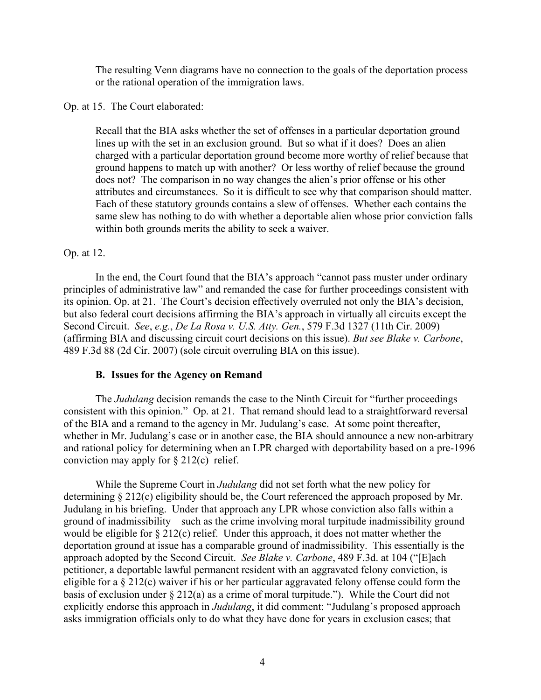The resulting Venn diagrams have no connection to the goals of the deportation process or the rational operation of the immigration laws.

Op. at 15. The Court elaborated:

Recall that the BIA asks whether the set of offenses in a particular deportation ground lines up with the set in an exclusion ground. But so what if it does? Does an alien charged with a particular deportation ground become more worthy of relief because that ground happens to match up with another? Or less worthy of relief because the ground does not? The comparison in no way changes the alien's prior offense or his other attributes and circumstances. So it is difficult to see why that comparison should matter. Each of these statutory grounds contains a slew of offenses. Whether each contains the same slew has nothing to do with whether a deportable alien whose prior conviction falls within both grounds merits the ability to seek a waiver.

## Op. at 12.

 In the end, the Court found that the BIA's approach "cannot pass muster under ordinary principles of administrative law" and remanded the case for further proceedings consistent with its opinion. Op. at 21. The Court's decision effectively overruled not only the BIA's decision, but also federal court decisions affirming the BIA's approach in virtually all circuits except the Second Circuit. *See*, *e.g.*, *De La Rosa v. U.S. Atty. Gen.*, 579 F.3d 1327 (11th Cir. 2009) (affirming BIA and discussing circuit court decisions on this issue). *But see Blake v. Carbone*, 489 F.3d 88 (2d Cir. 2007) (sole circuit overruling BIA on this issue).

### **B. Issues for the Agency on Remand**

The *Judulang* decision remands the case to the Ninth Circuit for "further proceedings consistent with this opinion." Op. at 21. That remand should lead to a straightforward reversal of the BIA and a remand to the agency in Mr. Judulang's case. At some point thereafter, whether in Mr. Judulang's case or in another case, the BIA should announce a new non-arbitrary and rational policy for determining when an LPR charged with deportability based on a pre-1996 conviction may apply for  $\S 212(c)$  relief.

While the Supreme Court in *Judulang* did not set forth what the new policy for determining § 212(c) eligibility should be, the Court referenced the approach proposed by Mr. Judulang in his briefing. Under that approach any LPR whose conviction also falls within a ground of inadmissibility – such as the crime involving moral turpitude inadmissibility ground – would be eligible for § 212(c) relief. Under this approach, it does not matter whether the deportation ground at issue has a comparable ground of inadmissibility. This essentially is the approach adopted by the Second Circuit. *See Blake v. Carbone*, 489 F.3d. at 104 ("[E]ach petitioner, a deportable lawful permanent resident with an aggravated felony conviction, is eligible for a § 212(c) waiver if his or her particular aggravated felony offense could form the basis of exclusion under § 212(a) as a crime of moral turpitude."). While the Court did not explicitly endorse this approach in *Judulang*, it did comment: "Judulang's proposed approach asks immigration officials only to do what they have done for years in exclusion cases; that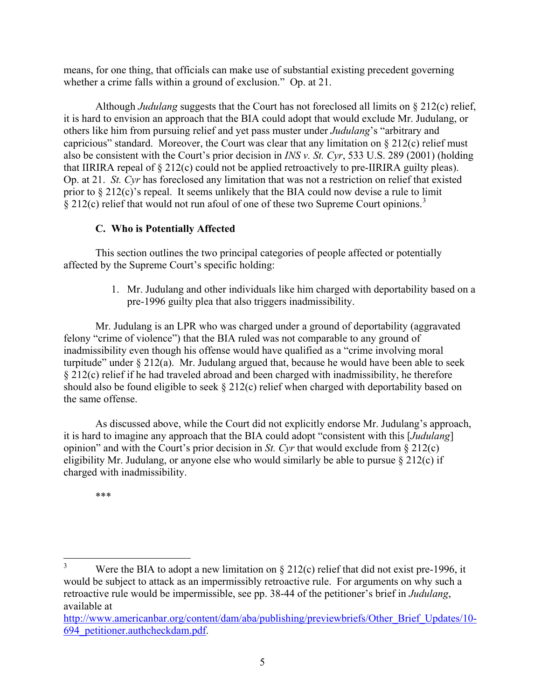means, for one thing, that officials can make use of substantial existing precedent governing whether a crime falls within a ground of exclusion." Op. at 21.

Although *Judulang* suggests that the Court has not foreclosed all limits on § 212(c) relief, it is hard to envision an approach that the BIA could adopt that would exclude Mr. Judulang, or others like him from pursuing relief and yet pass muster under *Judulang*'s "arbitrary and capricious" standard. Moreover, the Court was clear that any limitation on  $\S 212(c)$  relief must also be consistent with the Court's prior decision in *INS v. St. Cyr*, 533 U.S. 289 (2001) (holding that IIRIRA repeal of § 212(c) could not be applied retroactively to pre-IIRIRA guilty pleas). Op. at 21. *St. Cyr* has foreclosed any limitation that was not a restriction on relief that existed prior to § 212(c)'s repeal. It seems unlikely that the BIA could now devise a rule to limit § 212(c) relief that would not run afoul of one of these two Supreme Court opinions.<sup>[3](#page-4-0)</sup>

## **C. Who is Potentially Affected**

This section outlines the two principal categories of people affected or potentially affected by the Supreme Court's specific holding:

> 1. Mr. Judulang and other individuals like him charged with deportability based on a pre-1996 guilty plea that also triggers inadmissibility.

Mr. Judulang is an LPR who was charged under a ground of deportability (aggravated felony "crime of violence") that the BIA ruled was not comparable to any ground of inadmissibility even though his offense would have qualified as a "crime involving moral turpitude" under § 212(a). Mr. Judulang argued that, because he would have been able to seek § 212(c) relief if he had traveled abroad and been charged with inadmissibility, he therefore should also be found eligible to seek § 212(c) relief when charged with deportability based on the same offense.

As discussed above, while the Court did not explicitly endorse Mr. Judulang's approach, it is hard to imagine any approach that the BIA could adopt "consistent with this [*Judulang*] opinion" and with the Court's prior decision in *St. Cyr* that would exclude from § 212(c) eligibility Mr. Judulang, or anyone else who would similarly be able to pursue § 212(c) if charged with inadmissibility.

\*\*\*

<span id="page-4-0"></span>3 Were the BIA to adopt a new limitation on § 212(c) relief that did not exist pre-1996, it would be subject to attack as an impermissibly retroactive rule. For arguments on why such a retroactive rule would be impermissible, see pp. 38-44 of the petitioner's brief in *Judulang*, available at

[http://www.americanbar.org/content/dam/aba/publishing/previewbriefs/Other\\_Brief\\_Updates/10-](http://www.americanbar.org/content/dam/aba/publishing/previewbriefs/Other_Brief_Updates/10-694_petitioner.authcheckdam.pdf) [694\\_petitioner.authcheckdam.pdf](http://www.americanbar.org/content/dam/aba/publishing/previewbriefs/Other_Brief_Updates/10-694_petitioner.authcheckdam.pdf).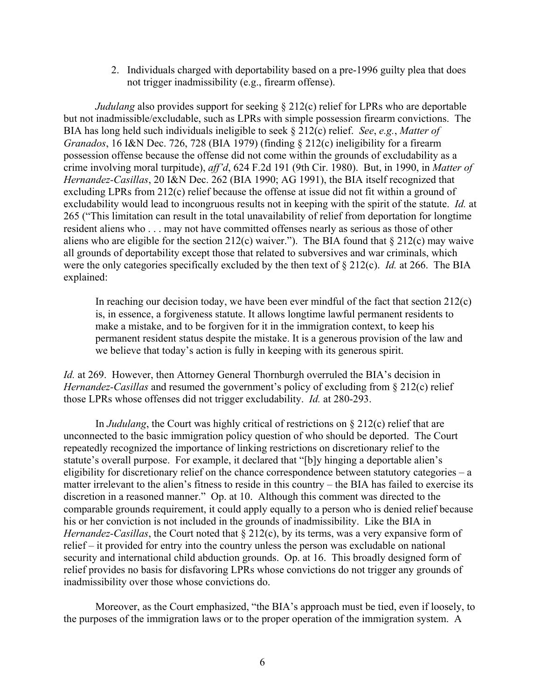2. Individuals charged with deportability based on a pre-1996 guilty plea that does not trigger inadmissibility (e.g., firearm offense).

*Judulang* also provides support for seeking § 212(c) relief for LPRs who are deportable but not inadmissible/excludable, such as LPRs with simple possession firearm convictions. The BIA has long held such individuals ineligible to seek § 212(c) relief. *See*, *e.g.*, *Matter of Granados*, 16 I&N Dec. 726, 728 (BIA 1979) (finding § 212(c) ineligibility for a firearm possession offense because the offense did not come within the grounds of excludability as a crime involving moral turpitude), *aff'd*, 624 F.2d 191 (9th Cir. 1980). But, in 1990, in *Matter of Hernandez-Casillas*, 20 I&N Dec. 262 (BIA 1990; AG 1991), the BIA itself recognized that excluding LPRs from 212(c) relief because the offense at issue did not fit within a ground of excludability would lead to incongruous results not in keeping with the spirit of the statute. *Id.* at 265 ("This limitation can result in the total unavailability of relief from deportation for longtime resident aliens who . . . may not have committed offenses nearly as serious as those of other aliens who are eligible for the section 212(c) waiver."). The BIA found that  $\S 212(c)$  may waive all grounds of deportability except those that related to subversives and war criminals, which were the only categories specifically excluded by the then text of § 212(c). *Id.* at 266. The BIA explained:

In reaching our decision today, we have been ever mindful of the fact that section  $212(c)$ is, in essence, a forgiveness statute. It allows longtime lawful permanent residents to make a mistake, and to be forgiven for it in the immigration context, to keep his permanent resident status despite the mistake. It is a generous provision of the law and we believe that today's action is fully in keeping with its generous spirit.

*Id.* at 269. However, then Attorney General Thornburgh overruled the BIA's decision in *Hernandez-Casillas* and resumed the government's policy of excluding from § 212(c) relief those LPRs whose offenses did not trigger excludability. *Id.* at 280-293.

In *Judulang*, the Court was highly critical of restrictions on § 212(c) relief that are unconnected to the basic immigration policy question of who should be deported. The Court repeatedly recognized the importance of linking restrictions on discretionary relief to the statute's overall purpose. For example, it declared that "[b]y hinging a deportable alien's eligibility for discretionary relief on the chance correspondence between statutory categories – a matter irrelevant to the alien's fitness to reside in this country – the BIA has failed to exercise its discretion in a reasoned manner." Op. at 10. Although this comment was directed to the comparable grounds requirement, it could apply equally to a person who is denied relief because his or her conviction is not included in the grounds of inadmissibility. Like the BIA in *Hernandez-Casillas*, the Court noted that § 212(c), by its terms, was a very expansive form of relief – it provided for entry into the country unless the person was excludable on national security and international child abduction grounds. Op. at 16. This broadly designed form of relief provides no basis for disfavoring LPRs whose convictions do not trigger any grounds of inadmissibility over those whose convictions do.

Moreover, as the Court emphasized, "the BIA's approach must be tied, even if loosely, to the purposes of the immigration laws or to the proper operation of the immigration system. A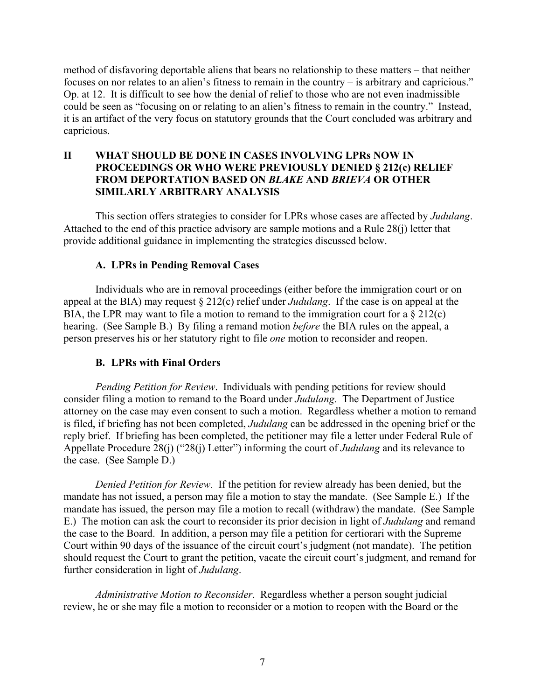method of disfavoring deportable aliens that bears no relationship to these matters – that neither focuses on nor relates to an alien's fitness to remain in the country – is arbitrary and capricious." Op. at 12. It is difficult to see how the denial of relief to those who are not even inadmissible could be seen as "focusing on or relating to an alien's fitness to remain in the country." Instead, it is an artifact of the very focus on statutory grounds that the Court concluded was arbitrary and capricious.

## **II WHAT SHOULD BE DONE IN CASES INVOLVING LPRs NOW IN PROCEEDINGS OR WHO WERE PREVIOUSLY DENIED § 212(c) RELIEF FROM DEPORTATION BASED ON** *BLAKE* **AND** *BRIEVA* **OR OTHER SIMILARLY ARBITRARY ANALYSIS**

This section offers strategies to consider for LPRs whose cases are affected by *Judulang*. Attached to the end of this practice advisory are sample motions and a Rule 28(j) letter that provide additional guidance in implementing the strategies discussed below.

## **A. LPRs in Pending Removal Cases**

 Individuals who are in removal proceedings (either before the immigration court or on appeal at the BIA) may request § 212(c) relief under *Judulang*. If the case is on appeal at the BIA, the LPR may want to file a motion to remand to the immigration court for a  $\S 212(c)$ hearing. (See Sample B.) By filing a remand motion *before* the BIA rules on the appeal, a person preserves his or her statutory right to file *one* motion to reconsider and reopen.

### **B. LPRs with Final Orders**

*Pending Petition for Review*. Individuals with pending petitions for review should consider filing a motion to remand to the Board under *Judulang*. The Department of Justice attorney on the case may even consent to such a motion. Regardless whether a motion to remand is filed, if briefing has not been completed, *Judulang* can be addressed in the opening brief or the reply brief. If briefing has been completed, the petitioner may file a letter under Federal Rule of Appellate Procedure 28(j) ("28(j) Letter") informing the court of *Judulang* and its relevance to the case. (See Sample D.)

*Denied Petition for Review.* If the petition for review already has been denied, but the mandate has not issued, a person may file a motion to stay the mandate. (See Sample E.) If the mandate has issued, the person may file a motion to recall (withdraw) the mandate. (See Sample E.) The motion can ask the court to reconsider its prior decision in light of *Judulang* and remand the case to the Board. In addition, a person may file a petition for certiorari with the Supreme Court within 90 days of the issuance of the circuit court's judgment (not mandate). The petition should request the Court to grant the petition, vacate the circuit court's judgment, and remand for further consideration in light of *Judulang*.

*Administrative Motion to Reconsider*. Regardless whether a person sought judicial review, he or she may file a motion to reconsider or a motion to reopen with the Board or the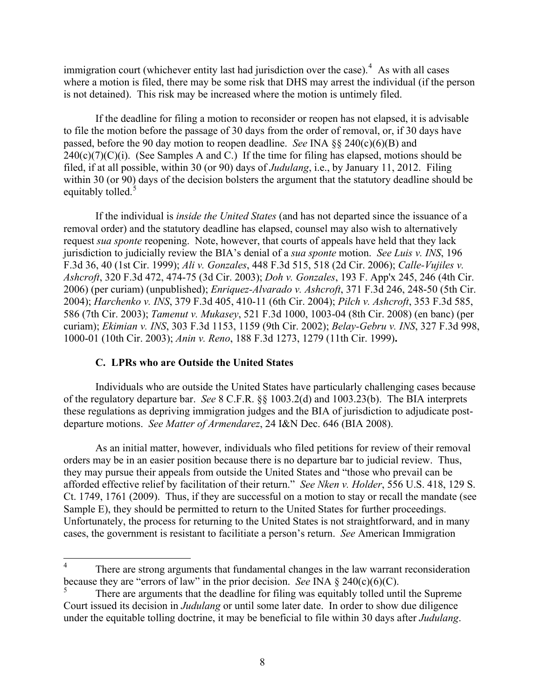immigration court (whichever entity last had jurisdiction over the case). $4$  As with all cases where a motion is filed, there may be some risk that DHS may arrest the individual (if the person is not detained). This risk may be increased where the motion is untimely filed.

 If the deadline for filing a motion to reconsider or reopen has not elapsed, it is advisable to file the motion before the passage of 30 days from the order of removal, or, if 30 days have passed, before the 90 day motion to reopen deadline. *See* INA §§ 240(c)(6)(B) and  $240(c)(7)(C)(i)$ . (See Samples A and C.) If the time for filing has elapsed, motions should be filed, if at all possible, within 30 (or 90) days of *Judulang*, i.e., by January 11, 2012. Filing within 30 (or 90) days of the decision bolsters the argument that the statutory deadline should be equitably tolled.<sup>[5](#page-7-1)</sup>

 If the individual is *inside the United States* (and has not departed since the issuance of a removal order) and the statutory deadline has elapsed, counsel may also wish to alternatively request *sua sponte* reopening. Note, however, that courts of appeals have held that they lack jurisdiction to judicially review the BIA's denial of a *sua sponte* motion. *See Luis v. INS*, 196 F.3d 36, 40 (1st Cir. 1999); *Ali v. Gonzales*, 448 F.3d 515, 518 (2d Cir. 2006); *Calle-Vujiles v. Ashcroft*, 320 F.3d 472, 474-75 (3d Cir. 2003); *Doh v. Gonzales*, 193 F. App'x 245, 246 (4th Cir. 2006) (per curiam) (unpublished); *Enriquez-Alvarado v. Ashcroft*, 371 F.3d 246, 248-50 (5th Cir. 2004); *Harchenko v. INS*, 379 F.3d 405, 410-11 (6th Cir. 2004); *Pilch v. Ashcroft*, 353 F.3d 585, 586 (7th Cir. 2003); *Tamenut v. Mukasey*, 521 F.3d 1000, 1003-04 (8th Cir. 2008) (en banc) (per curiam); *Ekimian v. INS*, 303 F.3d 1153, 1159 (9th Cir. 2002); *Belay-Gebru v. INS*, 327 F.3d 998, 1000-01 (10th Cir. 2003); *Anin v. Reno*, 188 F.3d 1273, 1279 (11th Cir. 1999)**.**

## **C. LPRs who are Outside the United States**

Individuals who are outside the United States have particularly challenging cases because of the regulatory departure bar. *See* 8 C.F.R. §§ 1003.2(d) and 1003.23(b). The BIA interprets these regulations as depriving immigration judges and the BIA of jurisdiction to adjudicate postdeparture motions. *See Matter of Armendarez*, 24 I&N Dec. 646 (BIA 2008).

 As an initial matter, however, individuals who filed petitions for review of their removal orders may be in an easier position because there is no departure bar to judicial review. Thus, they may pursue their appeals from outside the United States and "those who prevail can be afforded effective relief by facilitation of their return." *See Nken v. Holder*, 556 U.S. 418, 129 S. Ct. 1749, 1761 (2009). Thus, if they are successful on a motion to stay or recall the mandate (see Sample E), they should be permitted to return to the United States for further proceedings. Unfortunately, the process for returning to the United States is not straightforward, and in many cases, the government is resistant to facilitiate a person's return. *See* American Immigration

<span id="page-7-0"></span><sup>4</sup> There are strong arguments that fundamental changes in the law warrant reconsideration because they are "errors of law" in the prior decision. *See* INA  $\S$  240(c)(6)(C).

<span id="page-7-1"></span><sup>5</sup> There are arguments that the deadline for filing was equitably tolled until the Supreme Court issued its decision in *Judulang* or until some later date. In order to show due diligence under the equitable tolling doctrine, it may be beneficial to file within 30 days after *Judulang*.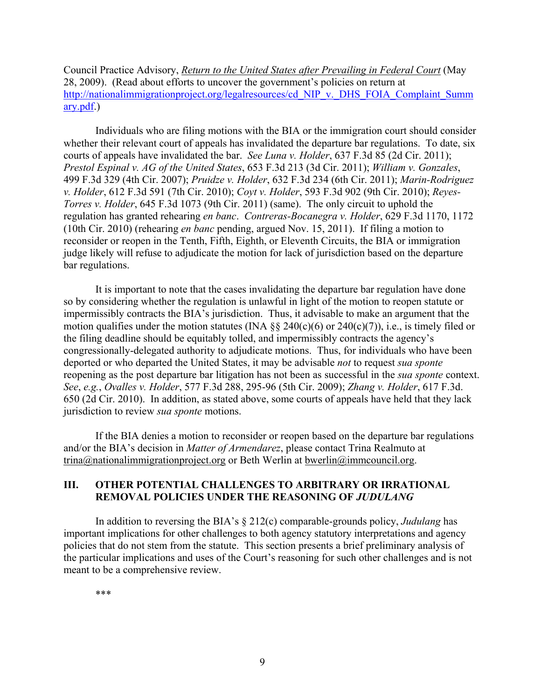Council Practice Advisory, *[Return to the United States after Prevailing in Federal Court](http://www.legalactioncenter.org/sites/default/files/lac_pa_11607.pdf)* (May 28, 2009). (Read about efforts to uncover the government's policies on return at [http://nationalimmigrationproject.org/legalresources/cd\\_NIP\\_v.\\_DHS\\_FOIA\\_Complaint\\_Summ](http://nationalimmigrationproject.org/legalresources/cd_NIP_v._DHS_FOIA_Complaint_Summary.pdf) [ary.pdf](http://nationalimmigrationproject.org/legalresources/cd_NIP_v._DHS_FOIA_Complaint_Summary.pdf).)

 Individuals who are filing motions with the BIA or the immigration court should consider whether their relevant court of appeals has invalidated the departure bar regulations. To date, six courts of appeals have invalidated the bar. *See Luna v. Holder*, 637 F.3d 85 (2d Cir. 2011); *Prestol Espinal v. AG of the United States*, 653 F.3d 213 (3d Cir. 2011); *William v. Gonzales*, 499 F.3d 329 (4th Cir. 2007); *Pruidze v. Holder*, 632 F.3d 234 (6th Cir. 2011); *Marin-Rodriguez v. Holder*, 612 F.3d 591 (7th Cir. 2010); *Coyt v. Holder*, 593 F.3d 902 (9th Cir. 2010); *Reyes-Torres v. Holder*, 645 F.3d 1073 (9th Cir. 2011) (same). The only circuit to uphold the regulation has granted rehearing *en banc*. *Contreras-Bocanegra v. Holder*, 629 F.3d 1170, 1172 (10th Cir. 2010) (rehearing *en banc* pending, argued Nov. 15, 2011). If filing a motion to reconsider or reopen in the Tenth, Fifth, Eighth, or Eleventh Circuits, the BIA or immigration judge likely will refuse to adjudicate the motion for lack of jurisdiction based on the departure bar regulations.

 It is important to note that the cases invalidating the departure bar regulation have done so by considering whether the regulation is unlawful in light of the motion to reopen statute or impermissibly contracts the BIA's jurisdiction. Thus, it advisable to make an argument that the motion qualifies under the motion statutes (INA  $\S$ § 240(c)(6) or 240(c)(7)), i.e., is timely filed or the filing deadline should be equitably tolled, and impermissibly contracts the agency's congressionally-delegated authority to adjudicate motions. Thus, for individuals who have been deported or who departed the United States, it may be advisable *not* to request *sua sponte* reopening as the post departure bar litigation has not been as successful in the *sua sponte* context. *See*, *e.g.*, *Ovalles v. Holder*, 577 F.3d 288, 295-96 (5th Cir. 2009); *Zhang v. Holder*, 617 F.3d. 650 (2d Cir. 2010). In addition, as stated above, some courts of appeals have held that they lack jurisdiction to review *sua sponte* motions.

 If the BIA denies a motion to reconsider or reopen based on the departure bar regulations and/or the BIA's decision in *Matter of Armendarez*, please contact Trina Realmuto at [trina@nationalimmigrationproject.org](mailto:trina@nationalimmigrationproject.org) or Beth Werlin at [bwerlin@immcouncil.org](mailto:bwerlin@immcouncil.org).

## **III. OTHER POTENTIAL CHALLENGES TO ARBITRARY OR IRRATIONAL REMOVAL POLICIES UNDER THE REASONING OF** *JUDULANG*

 In addition to reversing the BIA's § 212(c) comparable-grounds policy, *Judulang* has important implications for other challenges to both agency statutory interpretations and agency policies that do not stem from the statute. This section presents a brief preliminary analysis of the particular implications and uses of the Court's reasoning for such other challenges and is not meant to be a comprehensive review.

\*\*\*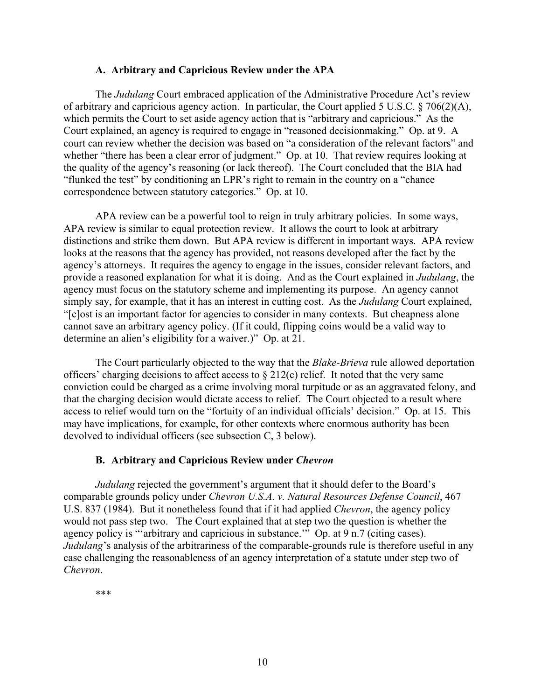#### **A. Arbitrary and Capricious Review under the APA**

 The *Judulang* Court embraced application of the Administrative Procedure Act's review of arbitrary and capricious agency action. In particular, the Court applied 5 U.S.C.  $\S$  706(2)(A), which permits the Court to set aside agency action that is "arbitrary and capricious." As the Court explained, an agency is required to engage in "reasoned decisionmaking." Op. at 9. A court can review whether the decision was based on "a consideration of the relevant factors" and whether "there has been a clear error of judgment." Op. at 10. That review requires looking at the quality of the agency's reasoning (or lack thereof). The Court concluded that the BIA had "flunked the test" by conditioning an LPR's right to remain in the country on a "chance correspondence between statutory categories." Op. at 10.

 APA review can be a powerful tool to reign in truly arbitrary policies. In some ways, APA review is similar to equal protection review. It allows the court to look at arbitrary distinctions and strike them down. But APA review is different in important ways. APA review looks at the reasons that the agency has provided, not reasons developed after the fact by the agency's attorneys. It requires the agency to engage in the issues, consider relevant factors, and provide a reasoned explanation for what it is doing. And as the Court explained in *Judulang*, the agency must focus on the statutory scheme and implementing its purpose. An agency cannot simply say, for example, that it has an interest in cutting cost. As the *Judulang* Court explained, "[c]ost is an important factor for agencies to consider in many contexts. But cheapness alone cannot save an arbitrary agency policy. (If it could, flipping coins would be a valid way to determine an alien's eligibility for a waiver.)" Op. at 21.

 The Court particularly objected to the way that the *Blake-Brieva* rule allowed deportation officers' charging decisions to affect access to  $\S 212(c)$  relief. It noted that the very same conviction could be charged as a crime involving moral turpitude or as an aggravated felony, and that the charging decision would dictate access to relief. The Court objected to a result where access to relief would turn on the "fortuity of an individual officials' decision." Op. at 15. This may have implications, for example, for other contexts where enormous authority has been devolved to individual officers (see subsection C, 3 below).

#### **B. Arbitrary and Capricious Review under** *Chevron*

*Judulang* rejected the government's argument that it should defer to the Board's comparable grounds policy under *Chevron U.S.A. v. Natural Resources Defense Council*, 467 U.S. 837 (1984). But it nonetheless found that if it had applied *Chevron*, the agency policy would not pass step two. The Court explained that at step two the question is whether the agency policy is "'arbitrary and capricious in substance.'" Op. at 9 n.7 (citing cases). *Judulang*'s analysis of the arbitrariness of the comparable-grounds rule is therefore useful in any case challenging the reasonableness of an agency interpretation of a statute under step two of *Chevron*.

\*\*\*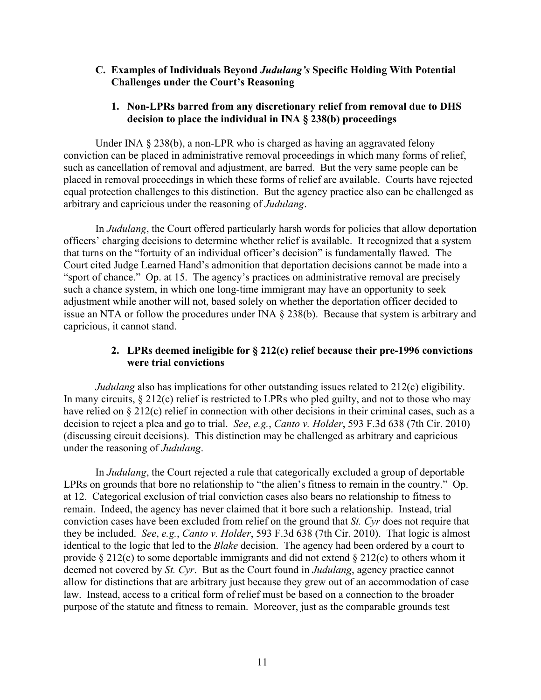## **C. Examples of Individuals Beyond** *Judulang's* **Specific Holding With Potential Challenges under the Court's Reasoning**

## **1. Non-LPRs barred from any discretionary relief from removal due to DHS decision to place the individual in INA § 238(b) proceedings**

Under INA § 238(b), a non-LPR who is charged as having an aggravated felony conviction can be placed in administrative removal proceedings in which many forms of relief, such as cancellation of removal and adjustment, are barred. But the very same people can be placed in removal proceedings in which these forms of relief are available. Courts have rejected equal protection challenges to this distinction. But the agency practice also can be challenged as arbitrary and capricious under the reasoning of *Judulang*.

In *Judulang*, the Court offered particularly harsh words for policies that allow deportation officers' charging decisions to determine whether relief is available. It recognized that a system that turns on the "fortuity of an individual officer's decision" is fundamentally flawed. The Court cited Judge Learned Hand's admonition that deportation decisions cannot be made into a "sport of chance." Op. at 15. The agency's practices on administrative removal are precisely such a chance system, in which one long-time immigrant may have an opportunity to seek adjustment while another will not, based solely on whether the deportation officer decided to issue an NTA or follow the procedures under INA § 238(b). Because that system is arbitrary and capricious, it cannot stand.

## **2. LPRs deemed ineligible for § 212(c) relief because their pre-1996 convictions were trial convictions**

*Judulang* also has implications for other outstanding issues related to 212(c) eligibility. In many circuits, § 212(c) relief is restricted to LPRs who pled guilty, and not to those who may have relied on § 212(c) relief in connection with other decisions in their criminal cases, such as a decision to reject a plea and go to trial. *See*, *e.g.*, *Canto v. Holder*, 593 F.3d 638 (7th Cir. 2010) (discussing circuit decisions). This distinction may be challenged as arbitrary and capricious under the reasoning of *Judulang*.

 In *Judulang*, the Court rejected a rule that categorically excluded a group of deportable LPRs on grounds that bore no relationship to "the alien's fitness to remain in the country." Op. at 12. Categorical exclusion of trial conviction cases also bears no relationship to fitness to remain. Indeed, the agency has never claimed that it bore such a relationship. Instead, trial conviction cases have been excluded from relief on the ground that *St. Cyr* does not require that they be included. *See*, *e.g.*, *Canto v. Holder*, 593 F.3d 638 (7th Cir. 2010). That logic is almost identical to the logic that led to the *Blake* decision. The agency had been ordered by a court to provide § 212(c) to some deportable immigrants and did not extend § 212(c) to others whom it deemed not covered by *St. Cyr*. But as the Court found in *Judulang*, agency practice cannot allow for distinctions that are arbitrary just because they grew out of an accommodation of case law. Instead, access to a critical form of relief must be based on a connection to the broader purpose of the statute and fitness to remain. Moreover, just as the comparable grounds test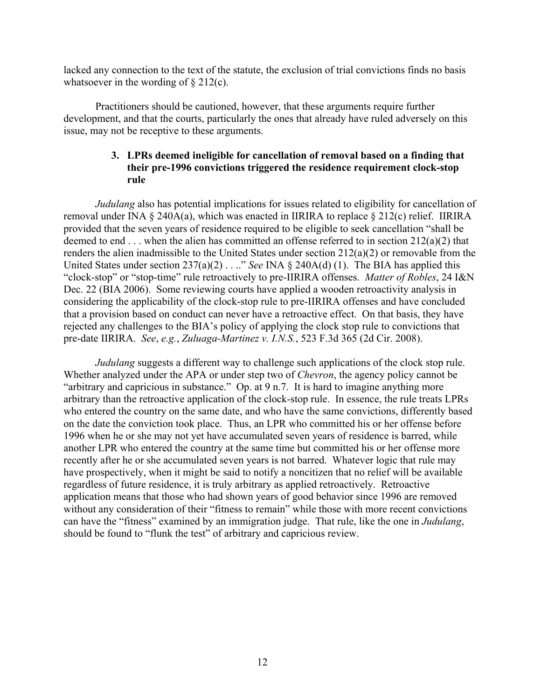lacked any connection to the text of the statute, the exclusion of trial convictions finds no basis whatsoever in the wording of  $\S 212(c)$ .

 Practitioners should be cautioned, however, that these arguments require further development, and that the courts, particularly the ones that already have ruled adversely on this issue, may not be receptive to these arguments.

## **3. LPRs deemed ineligible for cancellation of removal based on a finding that their pre-1996 convictions triggered the residence requirement clock-stop rule**

*Judulang* also has potential implications for issues related to eligibility for cancellation of removal under INA § 240A(a), which was enacted in IIRIRA to replace § 212(c) relief. IIRIRA provided that the seven years of residence required to be eligible to seek cancellation "shall be deemed to end . . . when the alien has committed an offense referred to in section 212(a)(2) that renders the alien inadmissible to the United States under section 212(a)(2) or removable from the United States under section 237(a)(2) . . .." *See* INA § 240A(d) (1). The BIA has applied this "clock-stop" or "stop-time" rule retroactively to pre-IIRIRA offenses. *Matter of Robles*, 24 I&N Dec. 22 (BIA 2006). Some reviewing courts have applied a wooden retroactivity analysis in considering the applicability of the clock-stop rule to pre-IIRIRA offenses and have concluded that a provision based on conduct can never have a retroactive effect. On that basis, they have rejected any challenges to the BIA's policy of applying the clock stop rule to convictions that pre-date IIRIRA. *See*, *e.g.*, *Zuluaga-Martinez v. I.N.S.*, 523 F.3d 365 (2d Cir. 2008).

*Judulang* suggests a different way to challenge such applications of the clock stop rule. Whether analyzed under the APA or under step two of *Chevron*, the agency policy cannot be "arbitrary and capricious in substance." Op. at 9 n.7. It is hard to imagine anything more arbitrary than the retroactive application of the clock-stop rule. In essence, the rule treats LPRs who entered the country on the same date, and who have the same convictions, differently based on the date the conviction took place. Thus, an LPR who committed his or her offense before 1996 when he or she may not yet have accumulated seven years of residence is barred, while another LPR who entered the country at the same time but committed his or her offense more recently after he or she accumulated seven years is not barred. Whatever logic that rule may have prospectively, when it might be said to notify a noncitizen that no relief will be available regardless of future residence, it is truly arbitrary as applied retroactively. Retroactive application means that those who had shown years of good behavior since 1996 are removed without any consideration of their "fitness to remain" while those with more recent convictions can have the "fitness" examined by an immigration judge. That rule, like the one in *Judulang*, should be found to "flunk the test" of arbitrary and capricious review.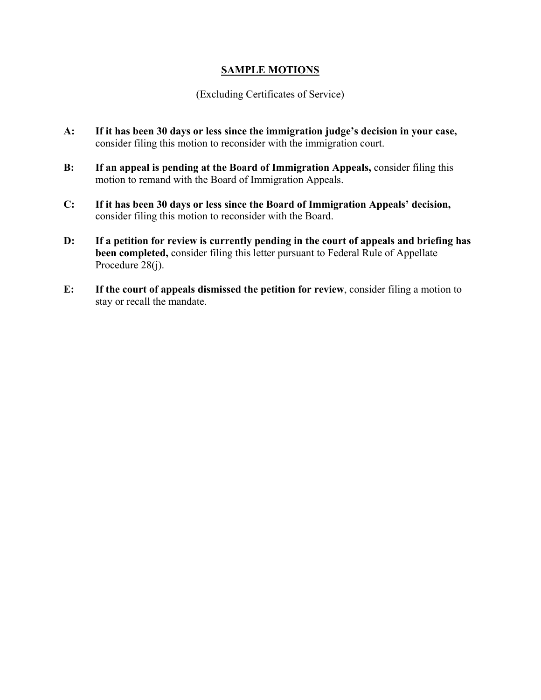## **SAMPLE MOTIONS**

## (Excluding Certificates of Service)

- **A: If it has been 30 days or less since the immigration judge's decision in your case,**  consider filing this motion to reconsider with the immigration court.
- **B: If an appeal is pending at the Board of Immigration Appeals,** consider filing this motion to remand with the Board of Immigration Appeals.
- **C: If it has been 30 days or less since the Board of Immigration Appeals' decision,**  consider filing this motion to reconsider with the Board.
- **D: If a petition for review is currently pending in the court of appeals and briefing has been completed,** consider filing this letter pursuant to Federal Rule of Appellate Procedure 28(j).
- **E: If the court of appeals dismissed the petition for review**, consider filing a motion to stay or recall the mandate.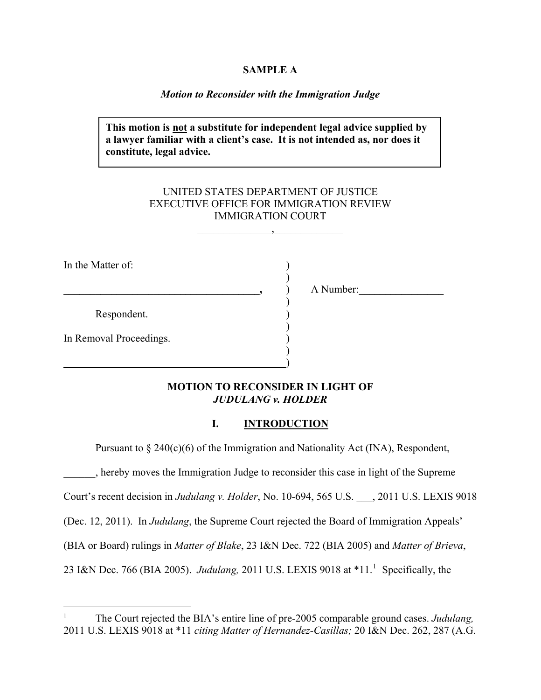#### **SAMPLE A**

#### *Motion to Reconsider with the Immigration Judge*

**This motion is not a substitute for independent legal advice supplied by a lawyer familiar with a client's case. It is not intended as, nor does it constitute, legal advice.** 

## UNITED STATES DEPARTMENT OF JUSTICE EXECUTIVE OFFICE FOR IMMIGRATION REVIEW IMMIGRATION COURT

 $\overline{\phantom{a}}$ 

In the Matter of:  $)$ 

Respondent.

)

 $\overline{\phantom{a}}$ 

 $)$ 

**\_\_\_\_\_\_\_\_\_\_\_\_\_\_\_\_\_\_\_\_\_\_\_\_\_\_\_\_\_\_\_\_\_\_\_\_\_,** ) A Number:**\_\_\_\_\_\_\_\_\_\_\_\_\_\_\_\_** 

In Removal Proceedings.  $)$ 

 $\overline{a}$ 

## **MOTION TO RECONSIDER IN LIGHT OF**  *JUDULANG v. HOLDER*

#### **I. INTRODUCTION**

Pursuant to  $\S 240(c)(6)$  of the Immigration and Nationality Act (INA), Respondent,

\_\_\_\_\_\_, hereby moves the Immigration Judge to reconsider this case in light of the Supreme

Court's recent decision in *Judulang v. Holder*, No. 10-694, 565 U.S. \_\_\_, 2011 U.S. LEXIS 9018

(Dec. 12, 2011). In *Judulang*, the Supreme Court rejected the Board of Immigration Appeals'

(BIA or Board) rulings in *Matter of Blake*, 23 I&N Dec. 722 (BIA 2005) and *Matter of Brieva*,

23 I&N Dec. 766 (BIA 2005). *Judulang*, 20[1](#page-13-0)1 U.S. LEXIS 9018 at \*11.<sup>1</sup> Specifically, the

<span id="page-13-0"></span><sup>1</sup> The Court rejected the BIA's entire line of pre-2005 comparable ground cases. *Judulang,*  2011 U.S. LEXIS 9018 at \*11 *citing Matter of Hernandez-Casillas;* 20 I&N Dec. 262, 287 (A.G.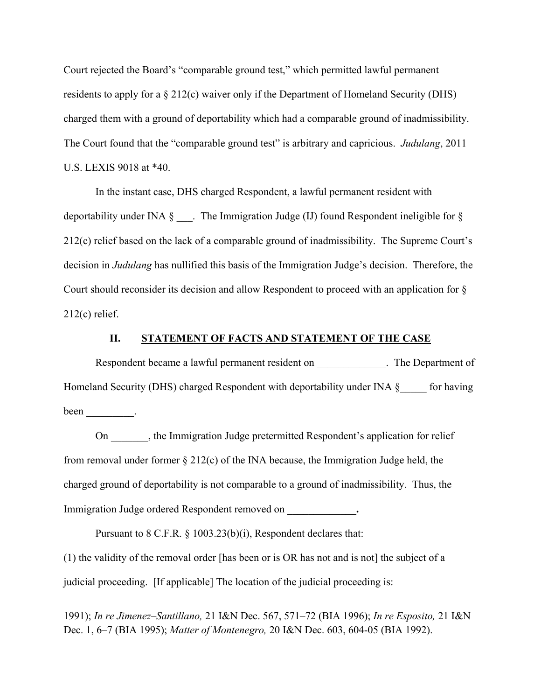Court rejected the Board's "comparable ground test," which permitted lawful permanent residents to apply for a § 212(c) waiver only if the Department of Homeland Security (DHS) charged them with a ground of deportability which had a comparable ground of inadmissibility . The Court found that the "comparable ground test" is arbitrary and capricious. *Judulang*, 2011 U.S. LEXIS 9 018 at \*40.

In the instant case, DHS charged Respondent, a lawful permanent resident with deportability under INA § \_\_\_. The Immigration Judge (IJ) found Respondent ineligible for § 212(c) relief based on the lack of a comparable ground of inadmissibility. The Supreme Court's decision in *Judulang* has nullified this basis of the Immigration Judge's decision. Therefore, the Court should reconsider its decision and allow Respondent to proceed with an application for § 212(c) relief.

#### **II. STATEMENT OF FACTS AND STATEMENT OF THE CASE**

Respondent became a lawful permanent resident on  $\blacksquare$ . The Department of Homeland Security (DHS) charged Respondent with deportability under INA §\_\_\_\_\_ for having been  $\_\_\_\_\_\_\_\$ .

 On \_\_\_\_\_\_\_, the Immigration Judge pretermitted Respondent's application for relief from removal under former § 212(c) of the INA because, the Immigration Judge held, the charged ground of deportability is not comparable to a ground of inadmissibility. Thus, the Immigration Judge ordered Respondent removed on **\_\_\_\_\_\_\_\_\_\_\_\_\_.** 

Pursuant to 8 C.F.R. § 1003.23(b)(i), Respondent declares that:

 $\overline{a}$ 

(1) the validity of the removal order [has been or is OR has not and is not] the subject of a judicial proceeding. [If applicable] The location of the judicial proceeding is:

1991); *In re Jimenez–Santillano,* 21 I&N Dec. 567, 571–72 (BIA 1996); *In re Esposito,* 21 I&N Dec. 1, 6–7 (BIA 1995); *Matter of Montenegro,* 20 I&N Dec. 603, 604-05 (BIA 1992).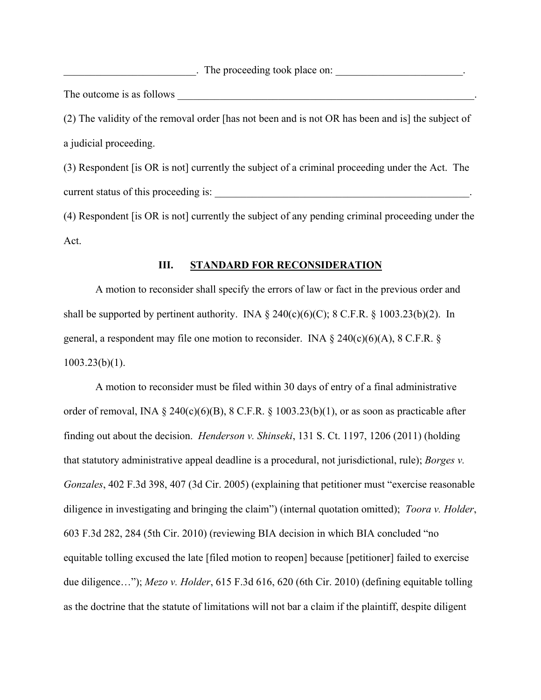details a The proceeding took place on:  $\Box$ 

The outcome is as follows \_\_\_\_\_\_\_\_\_\_\_\_\_\_\_\_\_\_\_\_\_\_\_\_\_\_\_\_\_\_\_\_\_\_\_\_\_\_\_\_\_\_\_\_\_\_\_\_\_\_\_\_\_\_\_\_.

(2) The validity of the removal order [has not been and is not OR has been and is] the subject of a judicial proceeding.

(3) Respondent [is OR is not] currently the subject of a criminal proceeding under the Act. The current status of this proceeding is:  $\blacksquare$ 

(4) Respondent [is OR is not] currently the subject of any pending criminal proceeding under the Act.

### **III. STANDARD FOR RECONSIDERATION**

 A motion to reconsider shall specify the errors of law or fact in the previous order and shall be supported by pertinent authority. INA  $\S$  240(c)(6)(C); 8 C.F.R.  $\S$  1003.23(b)(2). In general, a respondent may file one motion to reconsider. INA  $\S$  240(c)(6)(A), 8 C.F.R.  $\S$ 1003.23(b)(1).

 A motion to reconsider must be filed within 30 days of entry of a final administrative order of removal, INA  $\S$  240(c)(6)(B), 8 C.F.R.  $\S$  1003.23(b)(1), or as soon as practicable after finding out about the decision. *Henderson v. Shinseki*, 131 S. Ct. 1197, 1206 (2011) (holding that statutory administrative appeal deadline is a procedural, not jurisdictional, rule); *Borges v. Gonzales*, 402 F.3d 398, 407 (3d Cir. 2005) (explaining that petitioner must "exercise reasonable diligence in investigating and bringing the claim") (internal quotation omitted); *Toora v. Holder*, 603 F.3d 282, 284 (5th Cir. 2010) (reviewing BIA decision in which BIA concluded "no equitable tolling excused the late [filed motion to reopen] because [petitioner] failed to exercise due diligence…"); *Mezo v. Holder*, 615 F.3d 616, 620 (6th Cir. 2010) (defining equitable tolling as the doctrine that the statute of limitations will not bar a claim if the plaintiff, despite diligent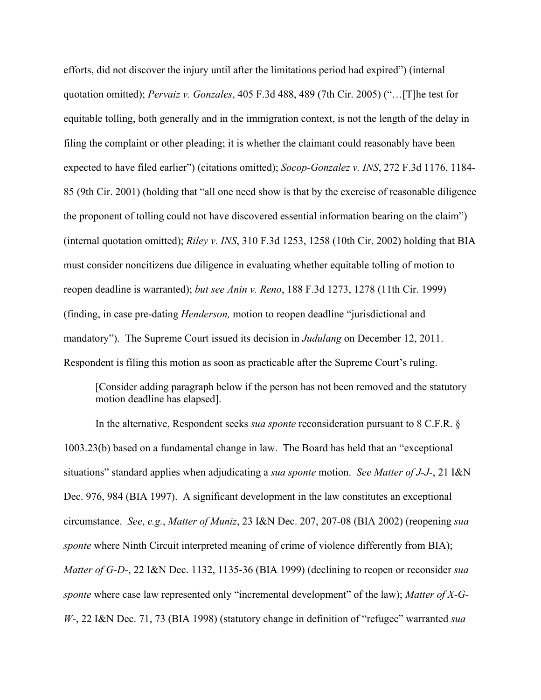efforts, did not discover the injury until after the limitations period had expired") (internal quotation omitted); *Pervaiz v. Gonzales*, 405 F.3d 488, 489 (7th Cir. 2005) ("…[T]he test for equitable tolling, both generally and in the immigration context, is not the length of the delay in filing the complaint or other pleading; it is whether the claimant could reasonably have been expected to have filed earlier") (citations omitted); *Socop-Gonzalez v. INS*, 272 F.3d 1176, 1184- 85 (9th Cir. 2001) (holding that "all one need show is that by the exercise of reasonable diligence the proponent of tolling could not have discovered essential information bearing on the claim") (internal quotation omitted); *Riley v. INS*, 310 F.3d 1253, 1258 (10th Cir. 2002) holding that BIA must consider noncitizens due diligence in evaluating whether equitable tolling of motion to reopen deadline is warranted); *but see Anin v. Reno*, 188 F.3d 1273, 1278 (11th Cir. 1999) (finding, in case pre-dating *Henderson,* motion to reopen deadline "jurisdictional and mandatory"). The Supreme Court issued its decision in *Judulang* on December 12, 2011. Respondent is filing this motion as soon as practicable after the Supreme Court's ruling.

 [Consider adding paragraph below if the person has not been removed and the statutory motion deadline has elapsed].

In the alternative, Respondent seeks *sua sponte* reconsideration pursuant to 8 C.F.R. § 1003.23(b) based on a fundamental change in law. The Board has held that an "exceptional situations" standard applies when adjudicating a *sua sponte* motion. *See Matter of J-J-*, 21 I&N Dec. 976, 984 (BIA 1997). A significant development in the law constitutes an exceptional circumstance. *See*, *e.g.*, *Matter of Muniz*, 23 I&N Dec. 207, 207-08 (BIA 2002) (reopening *sua sponte* where Ninth Circuit interpreted meaning of crime of violence differently from BIA); *Matter of G-D-*, 22 I&N Dec. 1132, 1135-36 (BIA 1999) (declining to reopen or reconsider *sua sponte* where case law represented only "incremental development" of the law); *Matter of X-G-W-*, 22 I&N Dec. 71, 73 (BIA 1998) (statutory change in definition of "refugee" warranted *sua*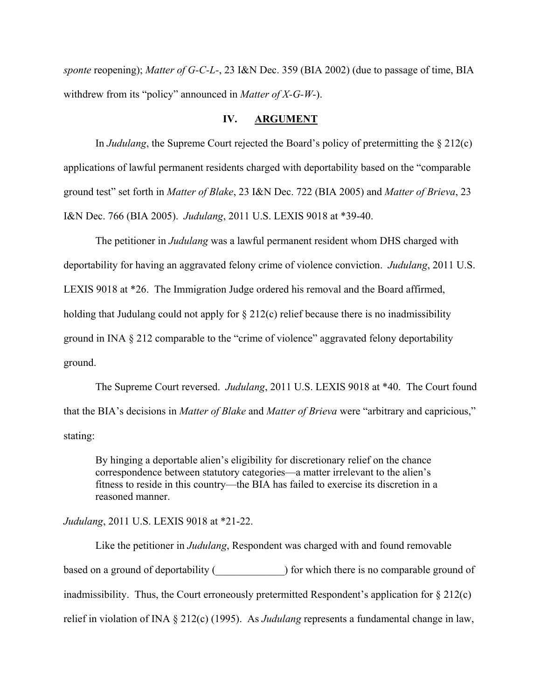*sponte* reopening); *Matter of G-C-L-*, 23 I&N Dec. 359 (BIA 2002) (due to passage of time, BIA withdrew from its "policy" announced in *Matter of X-G-W-*).

## **IV. ARGUMENT**

In *Judulang*, the Supreme Court rejected the Board's policy of pretermitting the § 212(c) applications of lawful permanent residents charged with deportability based on the "comparable ground test" set forth in *Matter of Blake*, 23 I&N Dec. 722 (BIA 2005) and *Matter of Brieva*, 23 I&N Dec. 766 (BIA 2005). *Judulang*, 2011 U.S. LEXIS 9018 at \*39-40.

The petitioner in *Judulang* was a lawful permanent resident whom DHS charged with deportability for having an aggravated felony crime of violence conviction. *Judulang*, 2011 U.S. LEXIS 9018 at \*26. The Immigration Judge ordered his removal and the Board affirmed, holding that Judulang could not apply for  $\S 212(c)$  relief because there is no inadmissibility ground in INA § 212 comparable to the "crime of violence" aggravated felony deportability ground.

The Supreme Court reversed. *Judulang*, 2011 U.S. LEXIS 9018 at \*40. The Court found that the BIA's decisions in *Matter of Blake* and *Matter of Brieva* were "arbitrary and capricious," stating:

By hinging a deportable alien's eligibility for discretionary relief on the chance correspondence between statutory categories—a matter irrelevant to the alien's fitness to reside in this country—the BIA has failed to exercise its discretion in a reasoned manner.

## *Judulang*, 2011 U.S. LEXIS 9018 at \*21-22.

 Like the petitioner in *Judulang*, Respondent was charged with and found removable based on a ground of deportability () for which there is no comparable ground of inadmissibility. Thus, the Court erroneously pretermitted Respondent's application for § 212(c) relief in violation of INA § 212(c) (1995). As *Judulang* represents a fundamental change in law,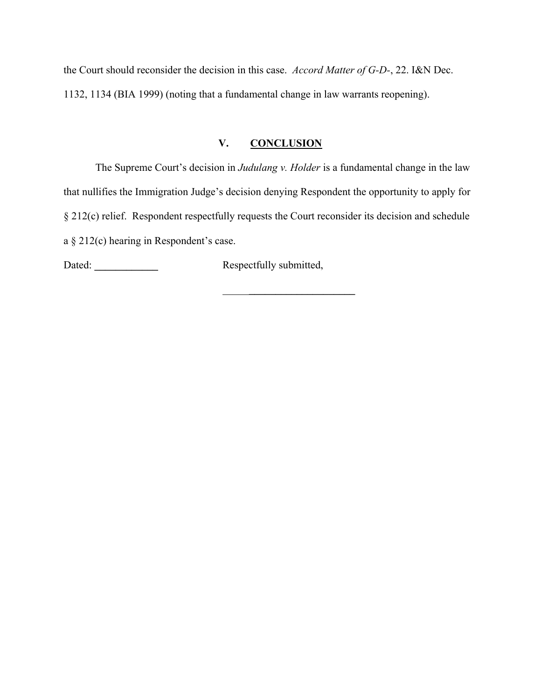the Court should reconsider the decision in this case. *Accord Matter of G-D-*, 22. I&N Dec. 1132, 1134 (BIA 1999) (noting that a fundamental change in law warrants reopening).

## **V. CONCLUSION**

The Supreme Court's decision in *Judulang v. Holder* is a fundamental change in the law that nullifies the Immigration Judge's decision denying Respondent the opportunity to apply for § 212(c) relief. Respondent respectfully requests the Court reconsider its decision and schedule a § 212(c) hearing in Respondent's case.

Dated: **\_\_\_\_\_\_\_\_\_\_\_\_** Respectfully submitted,

\_\_\_\_\_**\_\_\_\_\_\_\_\_\_\_\_\_\_\_\_\_\_\_\_\_**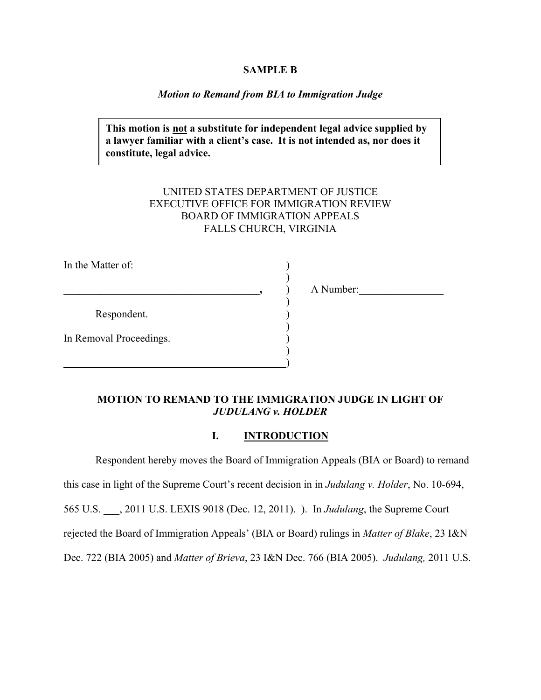#### **SAMPLE B**

#### *Motion to Remand from BIA to Immigration Judge*

**This motion is not a substitute for independent legal advice supplied by a lawyer familiar with a client's case. It is not intended as, nor does it constitute, legal advice.** 

## UNITED STATES DEPARTMENT OF JUSTICE EXECUTIVE OFFICE FOR IMMIGRATION REVIEW BOARD OF IMMIGRATION APPEALS FALLS CHURCH, VIRGINIA

In the Matter of:  $)$ **a**  $\overline{\phantom{a}}$  **a**  $\overline{\phantom{a}}$  **A** Number: ) Respondent. )  $)$ In Removal Proceedings. )  $)$  $\overline{\phantom{a}}$ 

### **MOTION TO REMAND TO THE IMMIGRATION JUDGE IN LIGHT OF**  *JUDULANG v. HOLDER*

### **I. INTRODUCTION**

Respondent hereby moves the Board of Immigration Appeals (BIA or Board) to remand this case in light of the Supreme Court's recent decision in in *Judulang v. Holder*, No. 10-694, 565 U.S. \_\_\_, 2011 U.S. LEXIS 9018 (Dec. 12, 2011). ). In *Judulang*, the Supreme Court rejected the Board of Immigration Appeals' (BIA or Board) rulings in *Matter of Blake*, 23 I&N Dec. 722 (BIA 2005) and *Matter of Brieva*, 23 I&N Dec. 766 (BIA 2005). *Judulang,* 2011 U.S.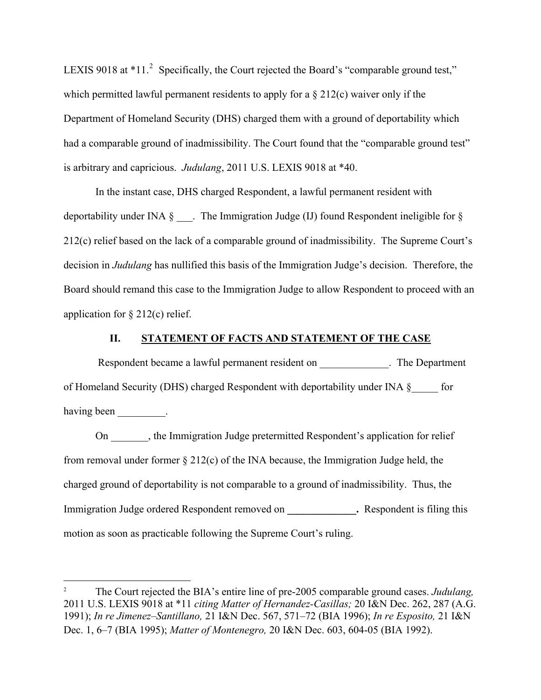LEXIS 9018 at  $*11$ .<sup>[2](#page-20-0)</sup> Specifically, the Court rejected the Board's "comparable ground test," which permitted lawful permanent residents to apply for a § 212(c) waiver only if the Department of Homeland Security (DHS) charged them with a ground of deportability which had a comparable ground of inadmissibility. The Court found that the "comparable ground test" is arbitrary and capricious. *Judulang*, 2011 U.S. LEXIS 9018 at \*40.

In the instant case, DHS charged Respondent, a lawful permanent resident with deportability under INA § \_\_\_. The Immigration Judge (IJ) found Respondent ineligible for § 212(c) relief based on the lack of a comparable ground of inadmissibility. The Supreme Court's decision in *Judulang* has nullified this basis of the Immigration Judge's decision. Therefore, the Board should remand this case to the Immigration Judge to allow Respondent to proceed with an application for  $\S 212(c)$  relief.

## **II. STATEMENT OF FACTS AND STATEMENT OF THE CASE**

Respondent became a lawful permanent resident on The Department of Homeland Security (DHS) charged Respondent with deportability under INA §\_\_\_\_\_ for having been \_\_\_\_\_\_\_\_\_.

 On \_\_\_\_\_\_\_, the Immigration Judge pretermitted Respondent's application for relief from removal under former § 212(c) of the INA because, the Immigration Judge held, the charged ground of deportability is not comparable to a ground of inadmissibility. Thus, the Immigration Judge ordered Respondent removed on **.** Respondent is filing this motion as soon as practicable following the Supreme Court's ruling.

 $\overline{a}$ 

<span id="page-20-0"></span><sup>2</sup> The Court rejected the BIA's entire line of pre-2005 comparable ground cases. *Judulang,*  2011 U.S. LEXIS 9018 at \*11 *citing Matter of Hernandez-Casillas;* 20 I&N Dec. 262, 287 (A.G. 1991); *In re Jimenez–Santillano,* 21 I&N Dec. 567, 571–72 (BIA 1996); *In re Esposito,* 21 I&N Dec. 1, 6–7 (BIA 1995); *Matter of Montenegro,* 20 I&N Dec. 603, 604-05 (BIA 1992).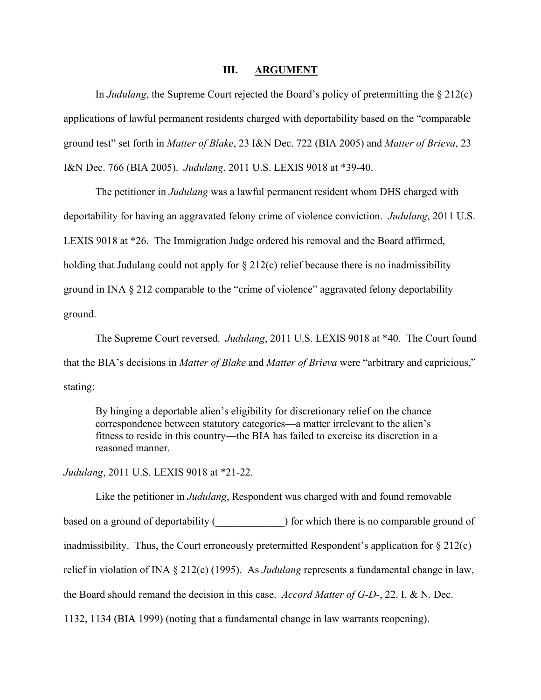#### **III. ARGUMENT**

In *Judulang*, the Supreme Court rejected the Board's policy of pretermitting the § 212(c) applications of lawful permanent residents charged with deportability based on the "comparable ground test" set forth in *Matter of Blake*, 23 I&N Dec. 722 (BIA 2005) and *Matter of Brieva*, 23 I&N Dec. 766 (BIA 2005). *Judulang*, 2011 U.S. LEXIS 9018 at \*39-40.

The petitioner in *Judulang* was a lawful permanent resident whom DHS charged with deportability for having an aggravated felony crime of violence conviction. *Judulang*, 2011 U.S. LEXIS 9018 at \*26. The Immigration Judge ordered his removal and the Board affirmed, holding that Judulang could not apply for  $\S 212(c)$  relief because there is no inadmissibility ground in INA § 212 comparable to the "crime of violence" aggravated felony deportability ground.

The Supreme Court reversed. *Judulang*, 2011 U.S. LEXIS 9018 at \*40. The Court found that the BIA's decisions in *Matter of Blake* and *Matter of Brieva* were "arbitrary and capricious," stating:

By hinging a deportable alien's eligibility for discretionary relief on the chance correspondence between statutory categories—a matter irrelevant to the alien's fitness to reside in this country—the BIA has failed to exercise its discretion in a reasoned manner.

*Judulang*, 2011 U.S. LEXIS 9018 at \*21-22.

 Like the petitioner in *Judulang*, Respondent was charged with and found removable based on a ground of deportability () for which there is no comparable ground of inadmissibility. Thus, the Court erroneously pretermitted Respondent's application for  $\S 212(c)$ relief in violation of INA § 212(c) (1995). As *Judulang* represents a fundamental change in law, the Board should remand the decision in this case. *Accord Matter of G-D-*, 22. I. & N. Dec. 1132, 1134 (BIA 1999) (noting that a fundamental change in law warrants reopening).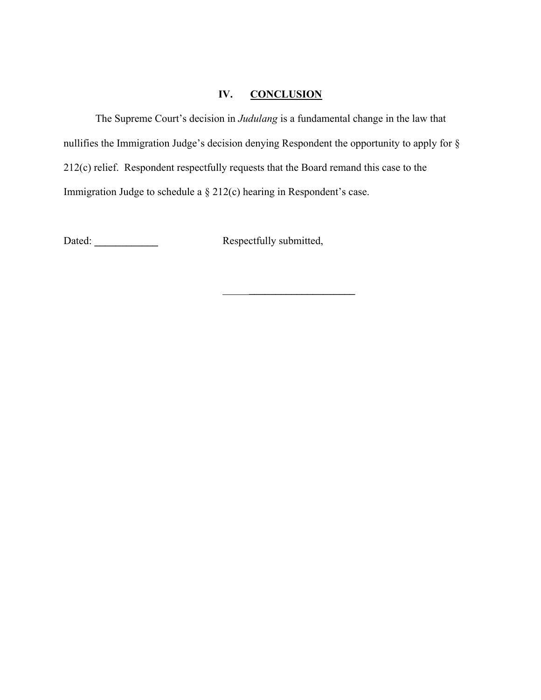## **IV. CONCLUSION**

The Supreme Court's decision in *Judulang* is a fundamental change in the law that nullifies the Immigration Judge's decision denying Respondent the opportunity to apply for § 212(c) relief. Respondent respectfully requests that the Board remand this case to the Immigration Judge to schedule a § 212(c) hearing in Respondent's case.

Dated: **\_\_\_\_\_\_\_\_\_\_\_\_** Respectfully submitted,

\_\_\_\_\_**\_\_\_\_\_\_\_\_\_\_\_\_\_\_\_\_\_\_\_\_**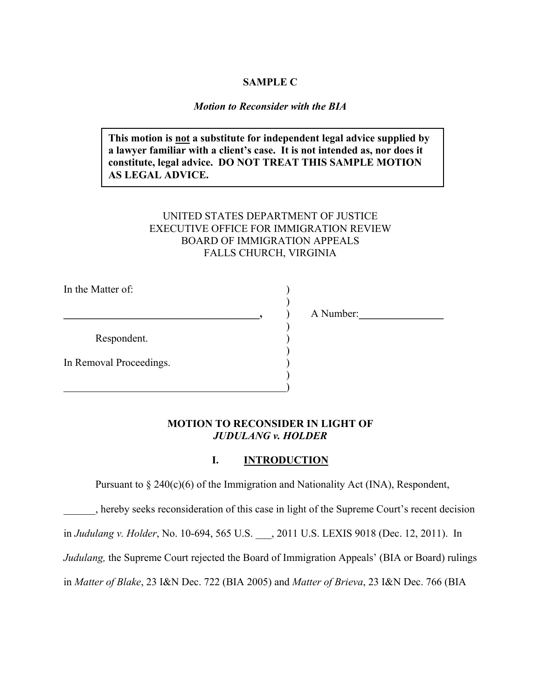## **SAMPLE C**

#### *Motion to Reconsider with the BIA*

**This motion is not a substitute for independent legal advice supplied by a lawyer familiar with a client's case. It is not intended as, nor does it constitute, legal advice. DO NOT TREAT THIS SAMPLE MOTION AS LEGAL ADVICE.** 

## UNITED STATES DEPARTMENT OF JUSTICE EXECUTIVE OFFICE FOR IMMIGRATION REVIEW BOARD OF IMMIGRATION APPEALS FALLS CHURCH, VIRGINIA

In the Matter of:

**\_\_\_\_\_\_\_\_\_\_\_\_\_\_\_\_\_\_\_\_\_\_\_\_\_\_\_\_\_\_\_\_\_\_\_\_\_,** ) A Number:**\_\_\_\_\_\_\_\_\_\_\_\_\_\_\_\_** 

Respondent. )

 $\overline{\phantom{a}}$ 

)

 $)$  $\hspace{1.5cm}$  ) and the contract of the contract of the contract of the contract of the contract of the contract of the contract of the contract of the contract of the contract of the contract of the contract of the contrac

 $)$ 

In Removal Proceedings.

## **MOTION TO RECONSIDER IN LIGHT OF**  *JUDULANG v. HOLDER*

## **I. INTRODUCTION**

Pursuant to  $\S 240(c)(6)$  of the Immigration and Nationality Act (INA), Respondent,

\_\_\_\_\_\_, hereby seeks reconsideration of this case in light of the Supreme Court's recent decision

in *Judulang v. Holder*, No. 10-694, 565 U.S. \_\_\_, 2011 U.S. LEXIS 9018 (Dec. 12, 2011). In

*Judulang*, the Supreme Court rejected the Board of Immigration Appeals' (BIA or Board) rulings

in *Matter of Blake*, 23 I&N Dec. 722 (BIA 2005) and *Matter of Brieva*, 23 I&N Dec. 766 (BIA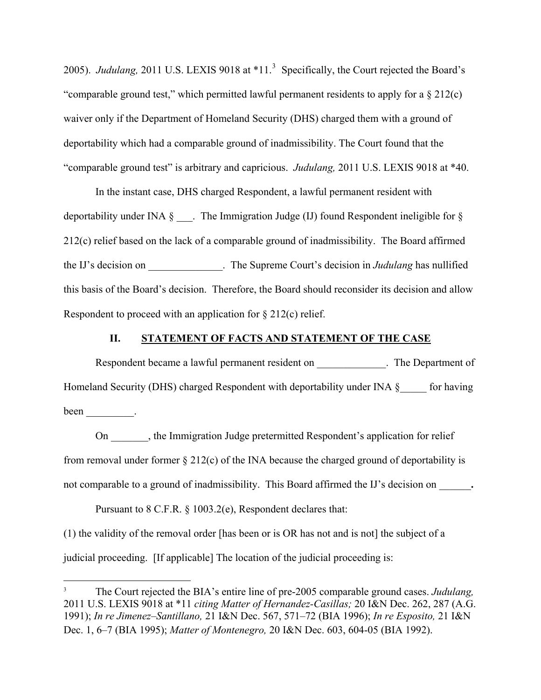2005). *Judulang*, 2011 U.S. LEXIS 9018 at \*11.<sup>[3](#page-24-0)</sup> Specifically, the Court rejected the Board's "comparable ground test," which permitted lawful permanent residents to apply for a  $\S 212(c)$ waiver only if the Department of Homeland Security (DHS) charged them with a ground of deportability which had a comparable ground of inadmissibility. The Court found that the "comparable ground test" is arbitrary and capricious. *Judulang,* 2011 U.S. LEXIS 9018 at \*40.

In the instant case, DHS charged Respondent, a lawful permanent resident with deportability under INA § \_\_\_. The Immigration Judge (IJ) found Respondent ineligible for § 212(c) relief based on the lack of a comparable ground of inadmissibility. The Board affirmed the IJ's decision on \_\_\_\_\_\_\_\_\_\_\_\_\_\_. The Supreme Court's decision in *Judulang* has nullified this basis of the Board's decision. Therefore, the Board should reconsider its decision and allow Respondent to proceed with an application for § 212(c) relief.

#### **II. STATEMENT OF FACTS AND STATEMENT OF THE CASE**

Respondent became a lawful permanent resident on The Department of Homeland Security (DHS) charged Respondent with deportability under INA §\_\_\_\_\_ for having been  $\_\_\_\_\_\_\_\$ .

 On \_\_\_\_\_\_\_, the Immigration Judge pretermitted Respondent's application for relief from removal under former § 212(c) of the INA because the charged ground of deportability is not comparable to a ground of inadmissibility. This Board affirmed the IJ's decision on  $\cdot$ 

Pursuant to 8 C.F.R. § 1003.2(e), Respondent declares that:

 $\overline{a}$ 

(1) the validity of the removal order [has been or is OR has not and is not] the subject of a judicial proceeding. [If applicable] The location of the judicial proceeding is:

<span id="page-24-0"></span><sup>3</sup> The Court rejected the BIA's entire line of pre-2005 comparable ground cases. *Judulang,*  2011 U.S. LEXIS 9018 at \*11 *citing Matter of Hernandez-Casillas;* 20 I&N Dec. 262, 287 (A.G. 1991); *In re Jimenez–Santillano,* 21 I&N Dec. 567, 571–72 (BIA 1996); *In re Esposito,* 21 I&N Dec. 1, 6–7 (BIA 1995); *Matter of Montenegro,* 20 I&N Dec. 603, 604-05 (BIA 1992).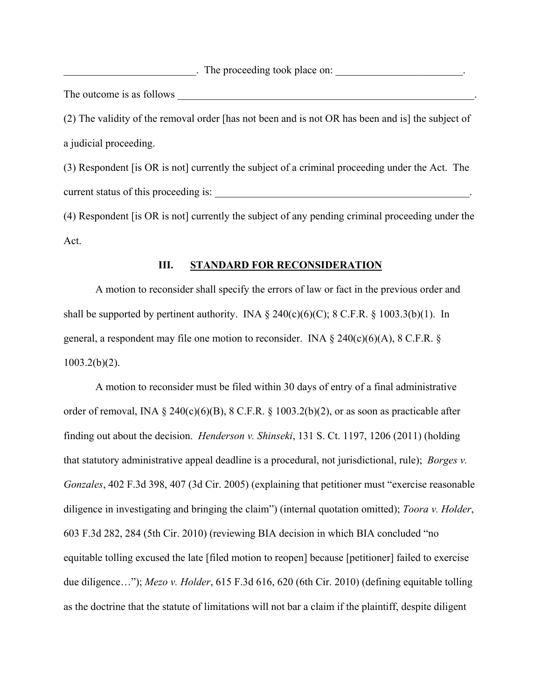. The proceeding took place on:

The outcome is as follows \_\_\_\_\_\_\_\_\_\_\_\_\_\_\_\_\_\_\_\_\_\_\_\_\_\_\_\_\_\_\_\_\_\_\_\_\_\_\_\_\_\_\_\_\_\_\_\_\_\_\_\_\_\_\_\_.

(2) The validity of the removal order [has not been and is not OR has been and is] the subject of a judicial proceeding.

(3) Respondent [is OR is not] currently the subject of a criminal proceeding under the Act. The current status of this proceeding is:  $\blacksquare$ 

(4) Respondent [is OR is not] currently the subject of any pending criminal proceeding under the Act.

## **III. STANDARD FOR RECONSIDERATION**

 A motion to reconsider shall specify the errors of law or fact in the previous order and shall be supported by pertinent authority. INA  $\S$  240(c)(6)(C); 8 C.F.R.  $\S$  1003.3(b)(1). In general, a respondent may file one motion to reconsider. INA  $\S$  240(c)(6)(A), 8 C.F.R.  $\S$  $1003.2(b)(2)$ .

 A motion to reconsider must be filed within 30 days of entry of a final administrative order of removal, INA § 240(c)(6)(B), 8 C.F.R. § 1003.2(b)(2), or as soon as practicable after finding out about the decision. *Henderson v. Shinseki*, 131 S. Ct. 1197, 1206 (2011) (holding that statutory administrative appeal deadline is a procedural, not jurisdictional, rule); *Borges v. Gonzales*, 402 F.3d 398, 407 (3d Cir. 2005) (explaining that petitioner must "exercise reasonable diligence in investigating and bringing the claim") (internal quotation omitted); *Toora v. Holder*, 603 F.3d 282, 284 (5th Cir. 2010) (reviewing BIA decision in which BIA concluded "no equitable tolling excused the late [filed motion to reopen] because [petitioner] failed to exercise due diligence…"); *Mezo v. Holder*, 615 F.3d 616, 620 (6th Cir. 2010) (defining equitable tolling as the doctrine that the statute of limitations will not bar a claim if the plaintiff, despite diligent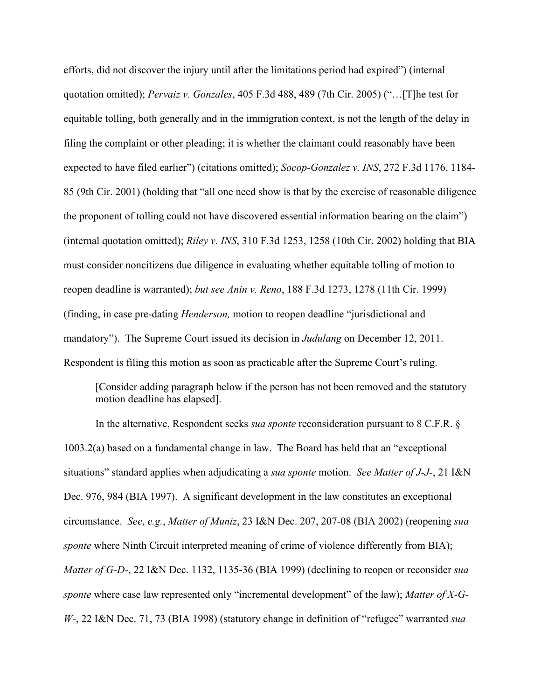efforts, did not discover the injury until after the limitations period had expired") (internal quotation omitted); *Pervaiz v. Gonzales*, 405 F.3d 488, 489 (7th Cir. 2005) ("…[T]he test for equitable tolling, both generally and in the immigration context, is not the length of the delay in filing the complaint or other pleading; it is whether the claimant could reasonably have been expected to have filed earlier") (citations omitted); *Socop-Gonzalez v. INS*, 272 F.3d 1176, 1184- 85 (9th Cir. 2001) (holding that "all one need show is that by the exercise of reasonable diligence the proponent of tolling could not have discovered essential information bearing on the claim") (internal quotation omitted); *Riley v. INS*, 310 F.3d 1253, 1258 (10th Cir. 2002) holding that BIA must consider noncitizens due diligence in evaluating whether equitable tolling of motion to reopen deadline is warranted); *but see Anin v. Reno*, 188 F.3d 1273, 1278 (11th Cir. 1999) (finding, in case pre-dating *Henderson,* motion to reopen deadline "jurisdictional and mandatory"). The Supreme Court issued its decision in *Judulang* on December 12, 2011. Respondent is filing this motion as soon as practicable after the Supreme Court's ruling.

 [Consider adding paragraph below if the person has not been removed and the statutory motion deadline has elapsed].

In the alternative, Respondent seeks *sua sponte* reconsideration pursuant to 8 C.F.R. § 1003.2(a) based on a fundamental change in law. The Board has held that an "exceptional situations" standard applies when adjudicating a *sua sponte* motion. *See Matter of J-J-*, 21 I&N Dec. 976, 984 (BIA 1997). A significant development in the law constitutes an exceptional circumstance. *See*, *e.g.*, *Matter of Muniz*, 23 I&N Dec. 207, 207-08 (BIA 2002) (reopening *sua sponte* where Ninth Circuit interpreted meaning of crime of violence differently from BIA); *Matter of G-D-*, 22 I&N Dec. 1132, 1135-36 (BIA 1999) (declining to reopen or reconsider *sua sponte* where case law represented only "incremental development" of the law); *Matter of X-G-W-*, 22 I&N Dec. 71, 73 (BIA 1998) (statutory change in definition of "refugee" warranted *sua*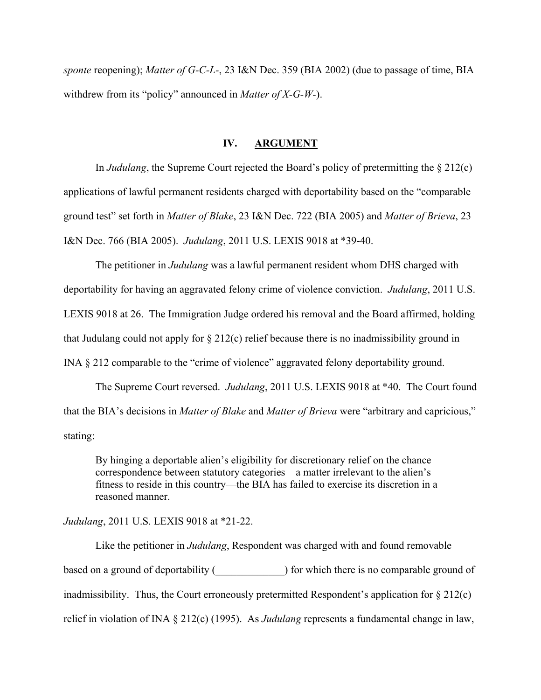*sponte* reopening); *Matter of G-C-L-*, 23 I&N Dec. 359 (BIA 2002) (due to passage of time, BIA withdrew from its "policy" announced in *Matter of X-G-W-*).

#### **IV. ARGUMENT**

In *Judulang*, the Supreme Court rejected the Board's policy of pretermitting the § 212(c) applications of lawful permanent residents charged with deportability based on the "comparable ground test" set forth in *Matter of Blake*, 23 I&N Dec. 722 (BIA 2005) and *Matter of Brieva*, 23 I&N Dec. 766 (BIA 2005). *Judulang*, 2011 U.S. LEXIS 9018 at \*39-40.

The petitioner in *Judulang* was a lawful permanent resident whom DHS charged with deportability for having an aggravated felony crime of violence conviction. *Judulang*, 2011 U.S. LEXIS 9018 at 26. The Immigration Judge ordered his removal and the Board affirmed, holding that Judulang could not apply for  $\S 212(c)$  relief because there is no inadmissibility ground in INA § 212 comparable to the "crime of violence" aggravated felony deportability ground.

The Supreme Court reversed. *Judulang*, 2011 U.S. LEXIS 9018 at \*40. The Court found that the BIA's decisions in *Matter of Blake* and *Matter of Brieva* were "arbitrary and capricious," stating:

By hinging a deportable alien's eligibility for discretionary relief on the chance correspondence between statutory categories—a matter irrelevant to the alien's fitness to reside in this country—the BIA has failed to exercise its discretion in a reasoned manner.

## *Judulang*, 2011 U.S. LEXIS 9018 at \*21-22.

 Like the petitioner in *Judulang*, Respondent was charged with and found removable based on a ground of deportability () for which there is no comparable ground of inadmissibility. Thus, the Court erroneously pretermitted Respondent's application for § 212(c) relief in violation of INA § 212(c) (1995). As *Judulang* represents a fundamental change in law,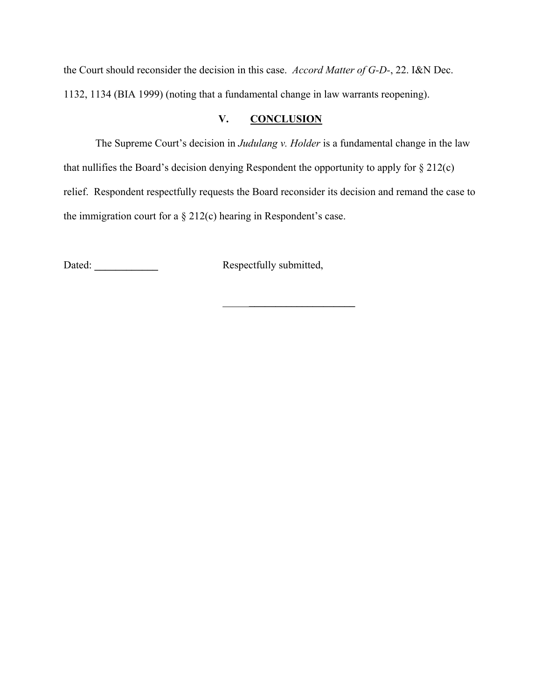the Court should reconsider the decision in this case. *Accord Matter of G-D-*, 22. I&N Dec. 1132, 1134 (BIA 1999) (noting that a fundamental change in law warrants reopening).

## **V. CONCLUSION**

The Supreme Court's decision in *Judulang v. Holder* is a fundamental change in the law that nullifies the Board's decision denying Respondent the opportunity to apply for  $\S 212(c)$ relief. Respondent respectfully requests the Board reconsider its decision and remand the case to the immigration court for a  $\S 212(c)$  hearing in Respondent's case.

Dated: **\_\_\_\_\_\_\_\_\_\_\_\_** Respectfully submitted,

\_\_\_\_\_**\_\_\_\_\_\_\_\_\_\_\_\_\_\_\_\_\_\_\_\_**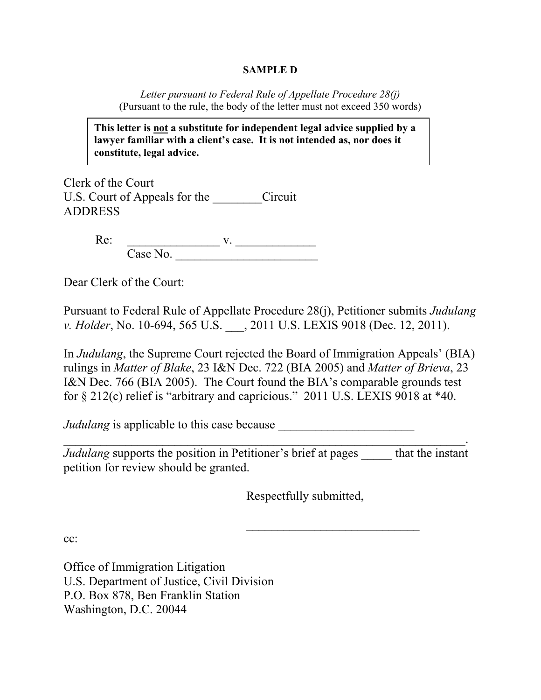## **SAMPLE D**

*Letter pursuant to Federal Rule of Appellate Procedure 28(j)*  (Pursuant to the rule, the body of the letter must not exceed 350 words)

**This letter is not a substitute for independent legal advice supplied by a lawyer familiar with a client's case. It is not intended as, nor does it constitute, legal advice.** 

Clerk of the Court U.S. Court of Appeals for the Circuit ADDRESS

> Re: v. Case No.

Dear Clerk of the Court:

Pursuant to Federal Rule of Appellate Procedure 28(j), Petitioner submits *Judulang v. Holder*, No. 10-694, 565 U.S. \_\_\_, 2011 U.S. LEXIS 9018 (Dec. 12, 2011).

In *Judulang*, the Supreme Court rejected the Board of Immigration Appeals' (BIA) rulings in *Matter of Blake*, 23 I&N Dec. 722 (BIA 2005) and *Matter of Brieva*, 23 I&N Dec. 766 (BIA 2005). The Court found the BIA's comparable grounds test for § 212(c) relief is "arbitrary and capricious." 2011 U.S. LEXIS 9018 at \*40.

*Judulang* is applicable to this case because

*Judulang* supports the position in Petitioner's brief at pages that the instant petition for review should be granted.

 $\overline{\phantom{a}}$  , and the contract of the contract of the contract of the contract of the contract of the contract of the contract of the contract of the contract of the contract of the contract of the contract of the contrac

Respectfully submitted,

 $\overline{\phantom{a}}$  ,  $\overline{\phantom{a}}$  ,  $\overline{\phantom{a}}$  ,  $\overline{\phantom{a}}$  ,  $\overline{\phantom{a}}$  ,  $\overline{\phantom{a}}$  ,  $\overline{\phantom{a}}$  ,  $\overline{\phantom{a}}$  ,  $\overline{\phantom{a}}$  ,  $\overline{\phantom{a}}$  ,  $\overline{\phantom{a}}$  ,  $\overline{\phantom{a}}$  ,  $\overline{\phantom{a}}$  ,  $\overline{\phantom{a}}$  ,  $\overline{\phantom{a}}$  ,  $\overline{\phantom{a}}$ 

cc:

Office of Immigration Litigation U.S. Department of Justice, Civil Division P.O. Box 878, Ben Franklin Station Washington, D.C. 20044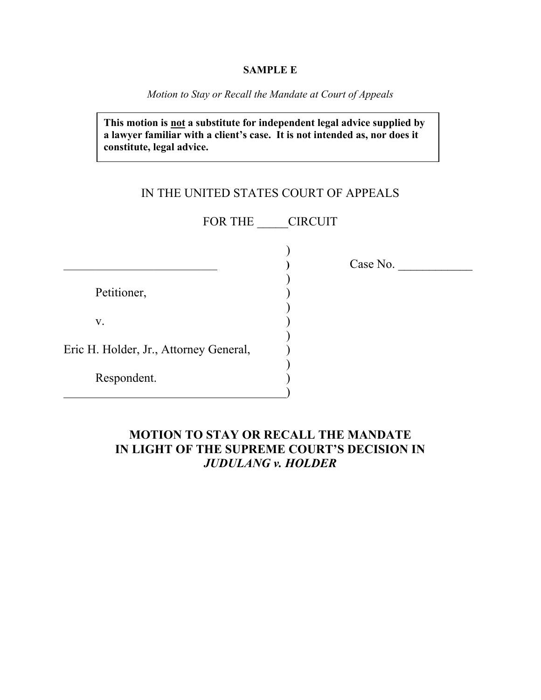#### **SAMPLE E**

*Motion to Stay or Recall the Mandate at Court of Appeals* 

**This motion is not a substitute for independent legal advice supplied by a lawyer familiar with a client's case. It is not intended as, nor does it constitute, legal advice.** 

# IN THE UNITED STATES COURT OF APPEALS

FOR THE **CIRCUIT** 

)

)

)

 $\overline{)}$ 

Petitioner, (1)

 $\mathbf{v}$ .

Eric H. Holder, Jr., Attorney General, )

 $\overline{\phantom{a}}$ 

)

Respondent. )

\_\_\_\_\_\_\_\_\_\_\_\_\_\_\_\_\_\_\_\_\_\_\_\_\_\_\_\_\_ **)** Case No. \_\_\_\_\_\_\_\_\_\_\_\_

# **MOTION TO STAY OR RECALL THE MANDATE IN LIGHT OF THE SUPREME COURT'S DECISION IN**  *JUDULANG v. HOLDER*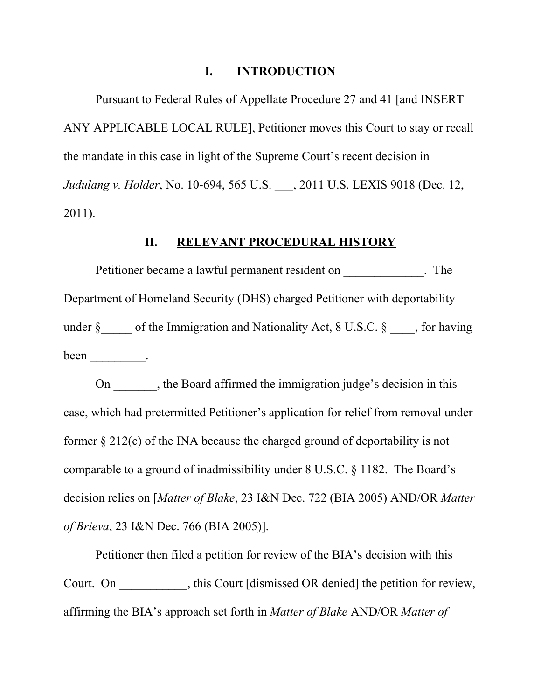## **I. INTRODUCTION**

Pursuant to Federal Rules of Appellate Procedure 27 and 41 [and INSERT ANY APPLICABLE LOCAL RULE], Petitioner moves this Court to stay or recall the mandate in this case in light of the Supreme Court's recent decision in *Judulang v. Holder*, No. 10-694, 565 U.S. \_\_\_, 2011 U.S. LEXIS 9018 (Dec. 12, 2011).

## **II. RELEVANT PROCEDURAL HISTORY**

Petitioner became a lawful permanent resident on Fig. 2. The Department of Homeland Security (DHS) charged Petitioner with deportability under  $\S$  of the Immigration and Nationality Act, 8 U.S.C.  $\S$  , for having been \_\_\_\_\_\_\_\_\_.

On , the Board affirmed the immigration judge's decision in this case, which had pretermitted Petitioner's application for relief from removal under former § 212(c) of the INA because the charged ground of deportability is not comparable to a ground of inadmissibility under 8 U.S.C. § 1182. The Board's decision relies on [*Matter of Blake*, 23 I&N Dec. 722 (BIA 2005) AND/OR *Matter of Brieva*, 23 I&N Dec. 766 (BIA 2005)].

Petitioner then filed a petition for review of the BIA's decision with this Court. On **\_\_\_\_\_\_\_\_\_\_\_**, this Court [dismissed OR denied] the petition for review, affirming the BIA's approach set forth in *Matter of Blake* AND/OR *Matter of*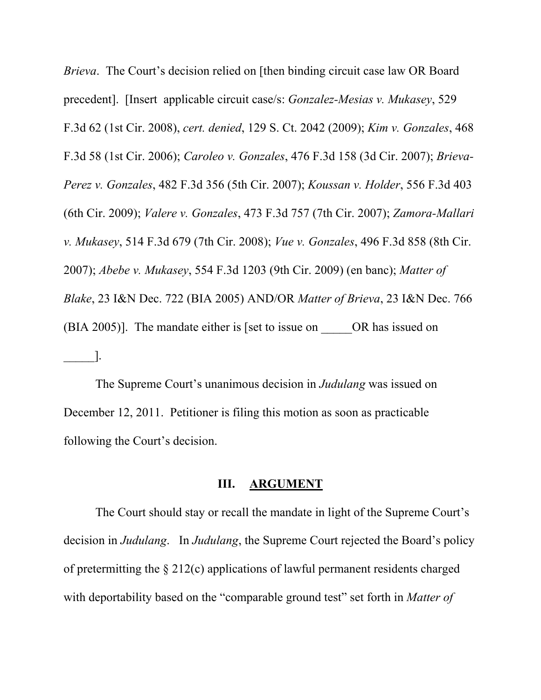*Brieva*. The Court's decision relied on [then binding circuit case law OR Board precedent]. [Insert applicable circuit case/s: *Gonzalez-Mesias v. Mukasey*, 529 F.3d 62 (1st Cir. 2008), *cert. denied*, 129 S. Ct. 2042 (2009); *Kim v. Gonzales*, 468 F.3d 58 (1st Cir. 2006); *Caroleo v. Gonzales*, 476 F.3d 158 (3d Cir. 2007); *Brieva-Perez v. Gonzales*, 482 F.3d 356 (5th Cir. 2007); *Koussan v. Holder*, 556 F.3d 403 (6th Cir. 2009); *Valere v. Gonzales*, 473 F.3d 757 (7th Cir. 2007); *Zamora-Mallari v. Mukasey*, 514 F.3d 679 (7th Cir. 2008); *Vue v. Gonzales*, 496 F.3d 858 (8th Cir. 2007); *Abebe v. Mukasey*, 554 F.3d 1203 (9th Cir. 2009) (en banc); *Matter of Blake*, 23 I&N Dec. 722 (BIA 2005) AND/OR *Matter of Brieva*, 23 I&N Dec. 766 (BIA 2005)]. The mandate either is [set to issue on  $OR$  has issued on  $\Box$ 

 The Supreme Court's unanimous decision in *Judulang* was issued on December 12, 2011. Petitioner is filing this motion as soon as practicable following the Court's decision.

#### **III. ARGUMENT**

The Court should stay or recall the mandate in light of the Supreme Court's decision in *Judulang*. In *Judulang*, the Supreme Court rejected the Board's policy of pretermitting the § 212(c) applications of lawful permanent residents charged with deportability based on the "comparable ground test" set forth in *Matter of*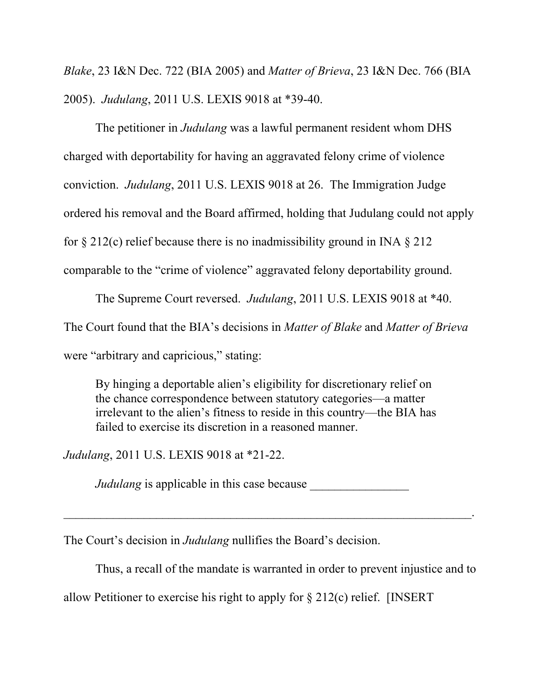*Blake*, 23 I&N Dec. 722 (BIA 2005) and *Matter of Brieva*, 23 I&N Dec. 766 (BIA 2005). *Judulang*, 2011 U.S. LEXIS 9018 at \*39-40.

The petitioner in *Judulang* was a lawful permanent resident whom DHS charged with deportability for having an aggravated felony crime of violence conviction. *Judulang*, 2011 U.S. LEXIS 9018 at 26. The Immigration Judge ordered his removal and the Board affirmed, holding that Judulang could not apply for  $\S 212(c)$  relief because there is no inadmissibility ground in INA  $\S 212$ comparable to the "crime of violence" aggravated felony deportability ground.

The Supreme Court reversed. *Judulang*, 2011 U.S. LEXIS 9018 at \*40. The Court found that the BIA's decisions in *Matter of Blake* and *Matter of Brieva*  were "arbitrary and capricious," stating:

By hinging a deportable alien's eligibility for discretionary relief on the chance correspondence between statutory categories—a matter irrelevant to the alien's fitness to reside in this country—the BIA has failed to exercise its discretion in a reasoned manner.

*Judulang*, 2011 U.S. LEXIS 9018 at \*21-22.

*Judulang* is applicable in this case because

 $\mathcal{L}_\text{max}$  , and the contract of the contract of the contract of the contract of the contract of the contract of the contract of the contract of the contract of the contract of the contract of the contract of the contr

The Court's decision in *Judulang* nullifies the Board's decision.

Thus, a recall of the mandate is warranted in order to prevent injustice and to

allow Petitioner to exercise his right to apply for § 212(c) relief. [INSERT